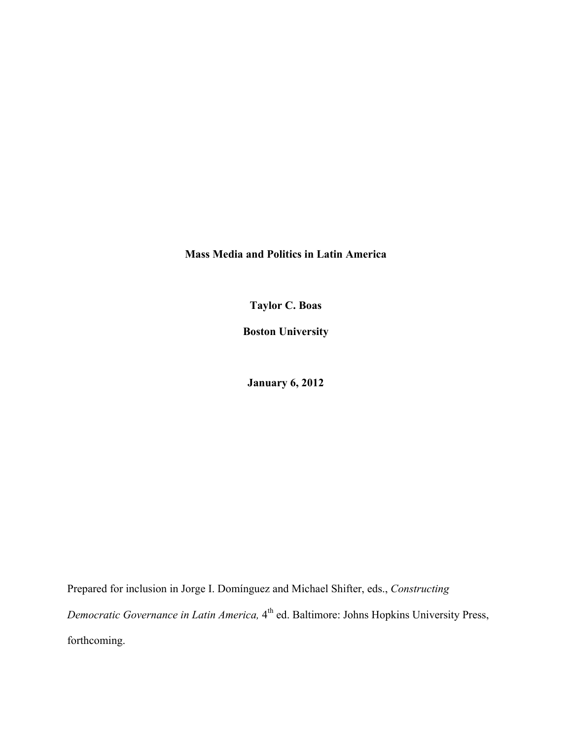**Mass Media and Politics in Latin America**

**Taylor C. Boas**

**Boston University**

**January 6, 2012**

Prepared for inclusion in Jorge I. Domínguez and Michael Shifter, eds., *Constructing Democratic Governance in Latin America,* 4<sup>th</sup> ed. Baltimore: Johns Hopkins University Press, forthcoming.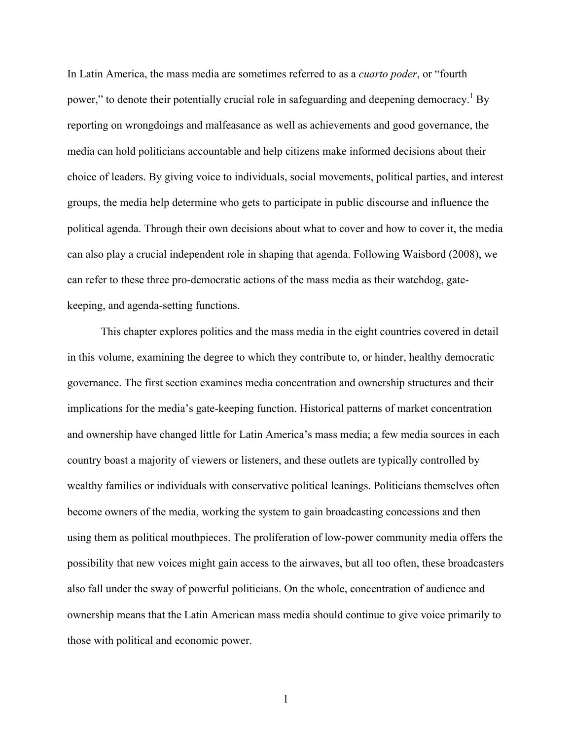In Latin America, the mass media are sometimes referred to as a *cuarto poder*, or "fourth power," to denote their potentially crucial role in safeguarding and deepening democracy.<sup>1</sup> By reporting on wrongdoings and malfeasance as well as achievements and good governance, the media can hold politicians accountable and help citizens make informed decisions about their choice of leaders. By giving voice to individuals, social movements, political parties, and interest groups, the media help determine who gets to participate in public discourse and influence the political agenda. Through their own decisions about what to cover and how to cover it, the media can also play a crucial independent role in shaping that agenda. Following Waisbord (2008), we can refer to these three pro-democratic actions of the mass media as their watchdog, gatekeeping, and agenda-setting functions.

This chapter explores politics and the mass media in the eight countries covered in detail in this volume, examining the degree to which they contribute to, or hinder, healthy democratic governance. The first section examines media concentration and ownership structures and their implications for the media's gate-keeping function. Historical patterns of market concentration and ownership have changed little for Latin America's mass media; a few media sources in each country boast a majority of viewers or listeners, and these outlets are typically controlled by wealthy families or individuals with conservative political leanings. Politicians themselves often become owners of the media, working the system to gain broadcasting concessions and then using them as political mouthpieces. The proliferation of low-power community media offers the possibility that new voices might gain access to the airwaves, but all too often, these broadcasters also fall under the sway of powerful politicians. On the whole, concentration of audience and ownership means that the Latin American mass media should continue to give voice primarily to those with political and economic power.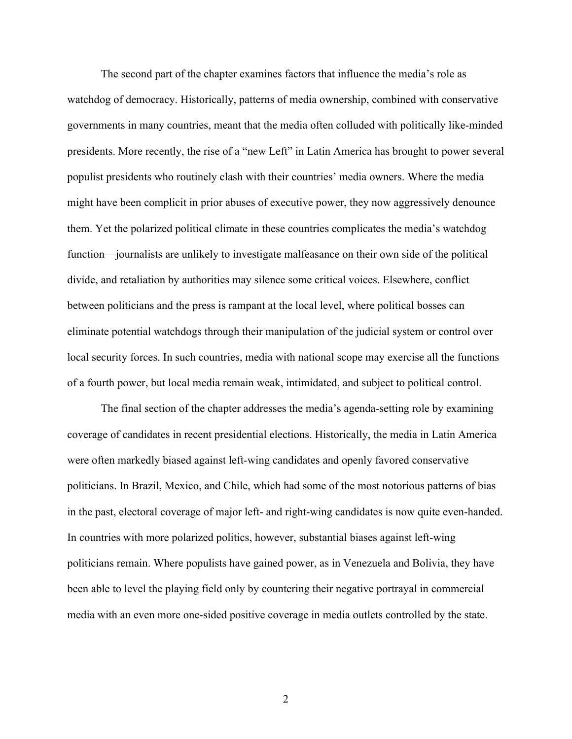The second part of the chapter examines factors that influence the media's role as watchdog of democracy. Historically, patterns of media ownership, combined with conservative governments in many countries, meant that the media often colluded with politically like-minded presidents. More recently, the rise of a "new Left" in Latin America has brought to power several populist presidents who routinely clash with their countries' media owners. Where the media might have been complicit in prior abuses of executive power, they now aggressively denounce them. Yet the polarized political climate in these countries complicates the media's watchdog function—journalists are unlikely to investigate malfeasance on their own side of the political divide, and retaliation by authorities may silence some critical voices. Elsewhere, conflict between politicians and the press is rampant at the local level, where political bosses can eliminate potential watchdogs through their manipulation of the judicial system or control over local security forces. In such countries, media with national scope may exercise all the functions of a fourth power, but local media remain weak, intimidated, and subject to political control.

The final section of the chapter addresses the media's agenda-setting role by examining coverage of candidates in recent presidential elections. Historically, the media in Latin America were often markedly biased against left-wing candidates and openly favored conservative politicians. In Brazil, Mexico, and Chile, which had some of the most notorious patterns of bias in the past, electoral coverage of major left- and right-wing candidates is now quite even-handed. In countries with more polarized politics, however, substantial biases against left-wing politicians remain. Where populists have gained power, as in Venezuela and Bolivia, they have been able to level the playing field only by countering their negative portrayal in commercial media with an even more one-sided positive coverage in media outlets controlled by the state.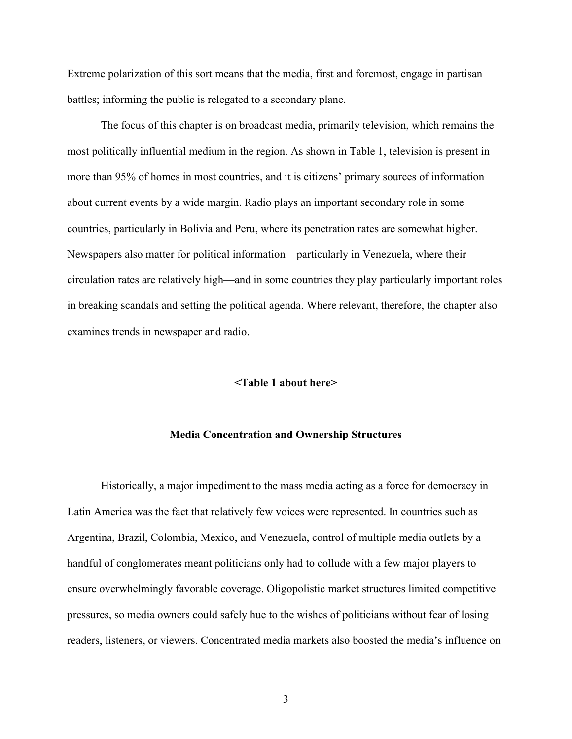Extreme polarization of this sort means that the media, first and foremost, engage in partisan battles; informing the public is relegated to a secondary plane.

The focus of this chapter is on broadcast media, primarily television, which remains the most politically influential medium in the region. As shown in Table 1, television is present in more than 95% of homes in most countries, and it is citizens' primary sources of information about current events by a wide margin. Radio plays an important secondary role in some countries, particularly in Bolivia and Peru, where its penetration rates are somewhat higher. Newspapers also matter for political information—particularly in Venezuela, where their circulation rates are relatively high—and in some countries they play particularly important roles in breaking scandals and setting the political agenda. Where relevant, therefore, the chapter also examines trends in newspaper and radio.

#### **<Table 1 about here>**

#### **Media Concentration and Ownership Structures**

Historically, a major impediment to the mass media acting as a force for democracy in Latin America was the fact that relatively few voices were represented. In countries such as Argentina, Brazil, Colombia, Mexico, and Venezuela, control of multiple media outlets by a handful of conglomerates meant politicians only had to collude with a few major players to ensure overwhelmingly favorable coverage. Oligopolistic market structures limited competitive pressures, so media owners could safely hue to the wishes of politicians without fear of losing readers, listeners, or viewers. Concentrated media markets also boosted the media's influence on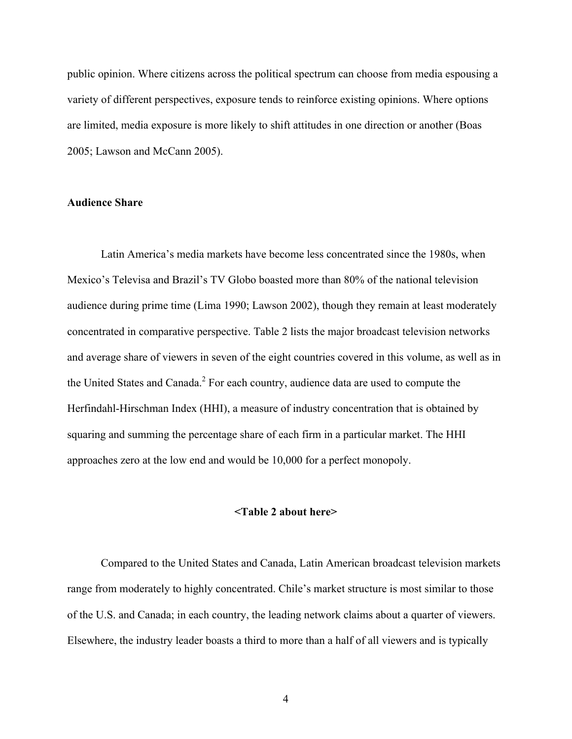public opinion. Where citizens across the political spectrum can choose from media espousing a variety of different perspectives, exposure tends to reinforce existing opinions. Where options are limited, media exposure is more likely to shift attitudes in one direction or another (Boas 2005; Lawson and McCann 2005).

# **Audience Share**

Latin America's media markets have become less concentrated since the 1980s, when Mexico's Televisa and Brazil's TV Globo boasted more than 80% of the national television audience during prime time (Lima 1990; Lawson 2002), though they remain at least moderately concentrated in comparative perspective. Table 2 lists the major broadcast television networks and average share of viewers in seven of the eight countries covered in this volume, as well as in the United States and Canada. $<sup>2</sup>$  For each country, audience data are used to compute the</sup> Herfindahl-Hirschman Index (HHI), a measure of industry concentration that is obtained by squaring and summing the percentage share of each firm in a particular market. The HHI approaches zero at the low end and would be 10,000 for a perfect monopoly.

#### **<Table 2 about here>**

Compared to the United States and Canada, Latin American broadcast television markets range from moderately to highly concentrated. Chile's market structure is most similar to those of the U.S. and Canada; in each country, the leading network claims about a quarter of viewers. Elsewhere, the industry leader boasts a third to more than a half of all viewers and is typically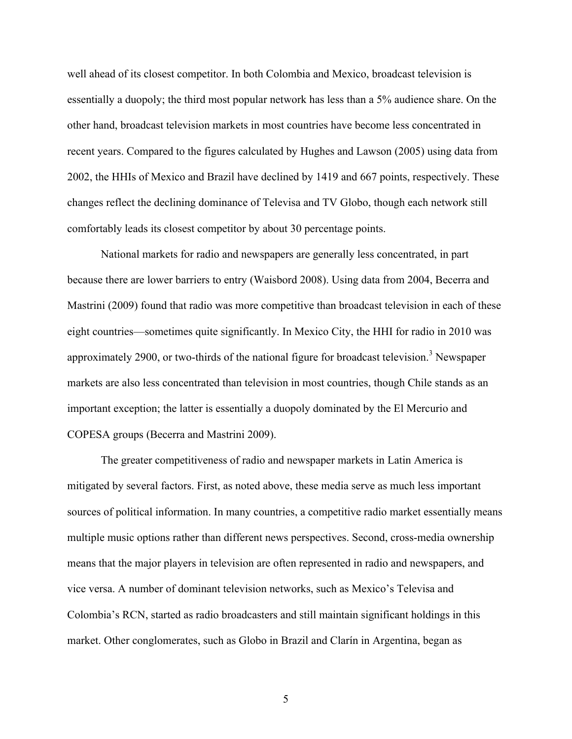well ahead of its closest competitor. In both Colombia and Mexico, broadcast television is essentially a duopoly; the third most popular network has less than a 5% audience share. On the other hand, broadcast television markets in most countries have become less concentrated in recent years. Compared to the figures calculated by Hughes and Lawson (2005) using data from 2002, the HHIs of Mexico and Brazil have declined by 1419 and 667 points, respectively. These changes reflect the declining dominance of Televisa and TV Globo, though each network still comfortably leads its closest competitor by about 30 percentage points.

National markets for radio and newspapers are generally less concentrated, in part because there are lower barriers to entry (Waisbord 2008). Using data from 2004, Becerra and Mastrini (2009) found that radio was more competitive than broadcast television in each of these eight countries—sometimes quite significantly. In Mexico City, the HHI for radio in 2010 was approximately 2900, or two-thirds of the national figure for broadcast television.<sup>3</sup> Newspaper markets are also less concentrated than television in most countries, though Chile stands as an important exception; the latter is essentially a duopoly dominated by the El Mercurio and COPESA groups (Becerra and Mastrini 2009).

The greater competitiveness of radio and newspaper markets in Latin America is mitigated by several factors. First, as noted above, these media serve as much less important sources of political information. In many countries, a competitive radio market essentially means multiple music options rather than different news perspectives. Second, cross-media ownership means that the major players in television are often represented in radio and newspapers, and vice versa. A number of dominant television networks, such as Mexico's Televisa and Colombia's RCN, started as radio broadcasters and still maintain significant holdings in this market. Other conglomerates, such as Globo in Brazil and Clarín in Argentina, began as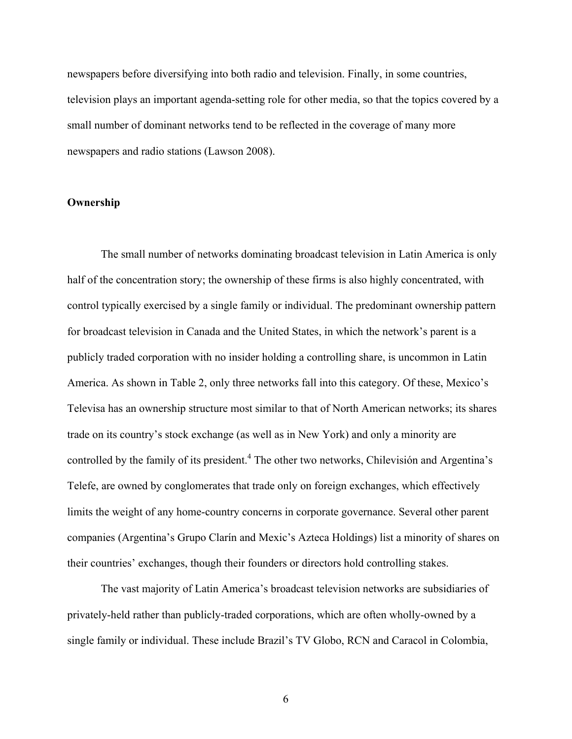newspapers before diversifying into both radio and television. Finally, in some countries, television plays an important agenda-setting role for other media, so that the topics covered by a small number of dominant networks tend to be reflected in the coverage of many more newspapers and radio stations (Lawson 2008).

# **Ownership**

The small number of networks dominating broadcast television in Latin America is only half of the concentration story; the ownership of these firms is also highly concentrated, with control typically exercised by a single family or individual. The predominant ownership pattern for broadcast television in Canada and the United States, in which the network's parent is a publicly traded corporation with no insider holding a controlling share, is uncommon in Latin America. As shown in Table 2, only three networks fall into this category. Of these, Mexico's Televisa has an ownership structure most similar to that of North American networks; its shares trade on its country's stock exchange (as well as in New York) and only a minority are controlled by the family of its president.<sup>4</sup> The other two networks, Chilevisión and Argentina's Telefe, are owned by conglomerates that trade only on foreign exchanges, which effectively limits the weight of any home-country concerns in corporate governance. Several other parent companies (Argentina's Grupo Clarín and Mexic's Azteca Holdings) list a minority of shares on their countries' exchanges, though their founders or directors hold controlling stakes.

The vast majority of Latin America's broadcast television networks are subsidiaries of privately-held rather than publicly-traded corporations, which are often wholly-owned by a single family or individual. These include Brazil's TV Globo, RCN and Caracol in Colombia,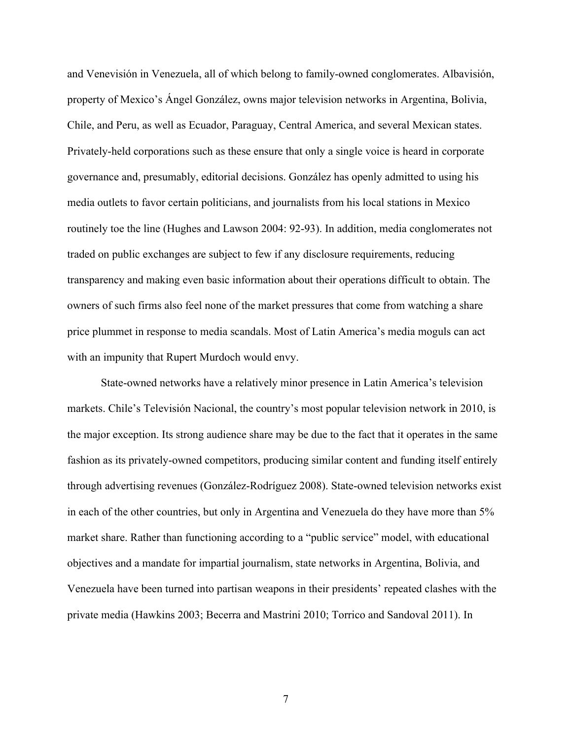and Venevisión in Venezuela, all of which belong to family-owned conglomerates. Albavisión, property of Mexico's Ángel González, owns major television networks in Argentina, Bolivia, Chile, and Peru, as well as Ecuador, Paraguay, Central America, and several Mexican states. Privately-held corporations such as these ensure that only a single voice is heard in corporate governance and, presumably, editorial decisions. González has openly admitted to using his media outlets to favor certain politicians, and journalists from his local stations in Mexico routinely toe the line (Hughes and Lawson 2004: 92-93). In addition, media conglomerates not traded on public exchanges are subject to few if any disclosure requirements, reducing transparency and making even basic information about their operations difficult to obtain. The owners of such firms also feel none of the market pressures that come from watching a share price plummet in response to media scandals. Most of Latin America's media moguls can act with an impunity that Rupert Murdoch would envy.

State-owned networks have a relatively minor presence in Latin America's television markets. Chile's Televisión Nacional, the country's most popular television network in 2010, is the major exception. Its strong audience share may be due to the fact that it operates in the same fashion as its privately-owned competitors, producing similar content and funding itself entirely through advertising revenues (González-Rodríguez 2008). State-owned television networks exist in each of the other countries, but only in Argentina and Venezuela do they have more than 5% market share. Rather than functioning according to a "public service" model, with educational objectives and a mandate for impartial journalism, state networks in Argentina, Bolivia, and Venezuela have been turned into partisan weapons in their presidents' repeated clashes with the private media (Hawkins 2003; Becerra and Mastrini 2010; Torrico and Sandoval 2011). In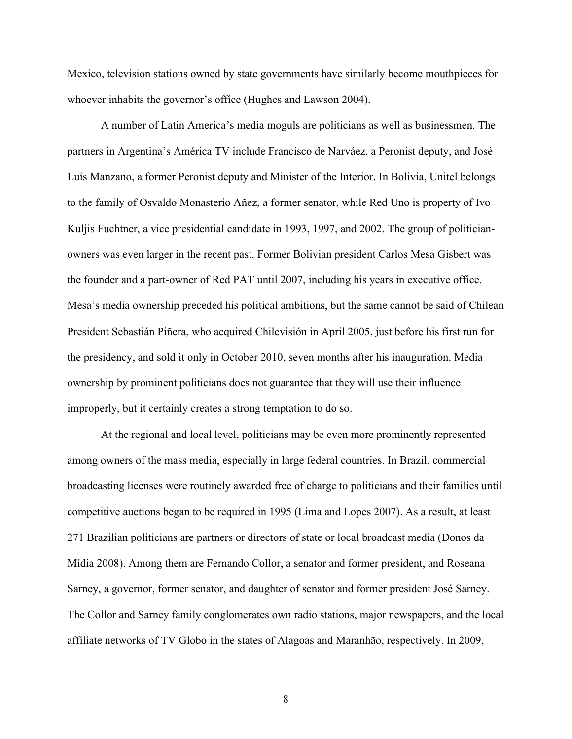Mexico, television stations owned by state governments have similarly become mouthpieces for whoever inhabits the governor's office (Hughes and Lawson 2004).

A number of Latin America's media moguls are politicians as well as businessmen. The partners in Argentina's América TV include Francisco de Narváez, a Peronist deputy, and José Luís Manzano, a former Peronist deputy and Minister of the Interior. In Bolivia, Unitel belongs to the family of Osvaldo Monasterio Añez, a former senator, while Red Uno is property of Ivo Kuljis Fuchtner, a vice presidential candidate in 1993, 1997, and 2002. The group of politicianowners was even larger in the recent past. Former Bolivian president Carlos Mesa Gisbert was the founder and a part-owner of Red PAT until 2007, including his years in executive office. Mesa's media ownership preceded his political ambitions, but the same cannot be said of Chilean President Sebastián Piñera, who acquired Chilevisión in April 2005, just before his first run for the presidency, and sold it only in October 2010, seven months after his inauguration. Media ownership by prominent politicians does not guarantee that they will use their influence improperly, but it certainly creates a strong temptation to do so.

At the regional and local level, politicians may be even more prominently represented among owners of the mass media, especially in large federal countries. In Brazil, commercial broadcasting licenses were routinely awarded free of charge to politicians and their families until competitive auctions began to be required in 1995 (Lima and Lopes 2007). As a result, at least 271 Brazilian politicians are partners or directors of state or local broadcast media (Donos da Mídia 2008). Among them are Fernando Collor, a senator and former president, and Roseana Sarney, a governor, former senator, and daughter of senator and former president José Sarney. The Collor and Sarney family conglomerates own radio stations, major newspapers, and the local affiliate networks of TV Globo in the states of Alagoas and Maranhão, respectively. In 2009,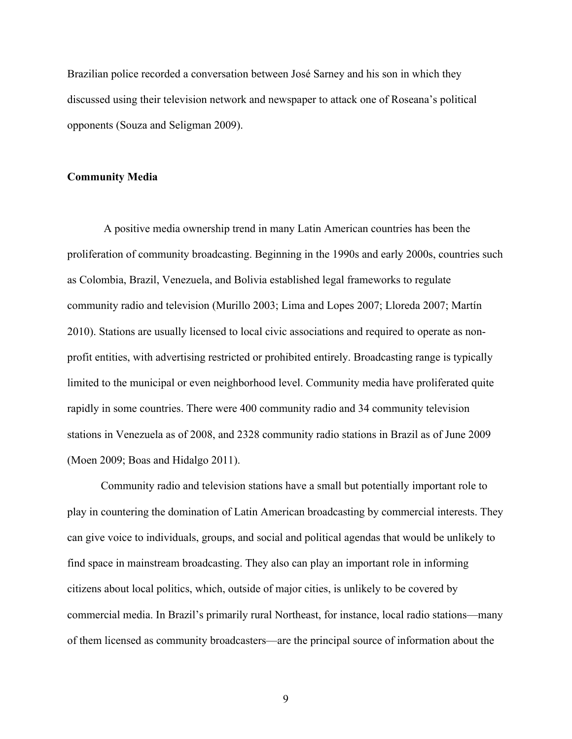Brazilian police recorded a conversation between José Sarney and his son in which they discussed using their television network and newspaper to attack one of Roseana's political opponents (Souza and Seligman 2009).

### **Community Media**

 A positive media ownership trend in many Latin American countries has been the proliferation of community broadcasting. Beginning in the 1990s and early 2000s, countries such as Colombia, Brazil, Venezuela, and Bolivia established legal frameworks to regulate community radio and television (Murillo 2003; Lima and Lopes 2007; Lloreda 2007; Martín 2010). Stations are usually licensed to local civic associations and required to operate as nonprofit entities, with advertising restricted or prohibited entirely. Broadcasting range is typically limited to the municipal or even neighborhood level. Community media have proliferated quite rapidly in some countries. There were 400 community radio and 34 community television stations in Venezuela as of 2008, and 2328 community radio stations in Brazil as of June 2009 (Moen 2009; Boas and Hidalgo 2011).

Community radio and television stations have a small but potentially important role to play in countering the domination of Latin American broadcasting by commercial interests. They can give voice to individuals, groups, and social and political agendas that would be unlikely to find space in mainstream broadcasting. They also can play an important role in informing citizens about local politics, which, outside of major cities, is unlikely to be covered by commercial media. In Brazil's primarily rural Northeast, for instance, local radio stations—many of them licensed as community broadcasters—are the principal source of information about the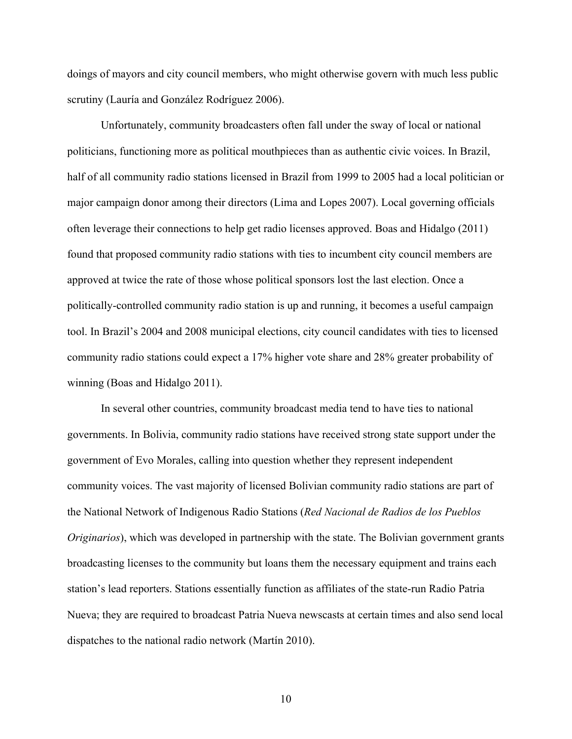doings of mayors and city council members, who might otherwise govern with much less public scrutiny (Lauría and González Rodríguez 2006).

Unfortunately, community broadcasters often fall under the sway of local or national politicians, functioning more as political mouthpieces than as authentic civic voices. In Brazil, half of all community radio stations licensed in Brazil from 1999 to 2005 had a local politician or major campaign donor among their directors (Lima and Lopes 2007). Local governing officials often leverage their connections to help get radio licenses approved. Boas and Hidalgo (2011) found that proposed community radio stations with ties to incumbent city council members are approved at twice the rate of those whose political sponsors lost the last election. Once a politically-controlled community radio station is up and running, it becomes a useful campaign tool. In Brazil's 2004 and 2008 municipal elections, city council candidates with ties to licensed community radio stations could expect a 17% higher vote share and 28% greater probability of winning (Boas and Hidalgo 2011).

In several other countries, community broadcast media tend to have ties to national governments. In Bolivia, community radio stations have received strong state support under the government of Evo Morales, calling into question whether they represent independent community voices. The vast majority of licensed Bolivian community radio stations are part of the National Network of Indigenous Radio Stations (*Red Nacional de Radios de los Pueblos Originarios*), which was developed in partnership with the state. The Bolivian government grants broadcasting licenses to the community but loans them the necessary equipment and trains each station's lead reporters. Stations essentially function as affiliates of the state-run Radio Patria Nueva; they are required to broadcast Patria Nueva newscasts at certain times and also send local dispatches to the national radio network (Martín 2010).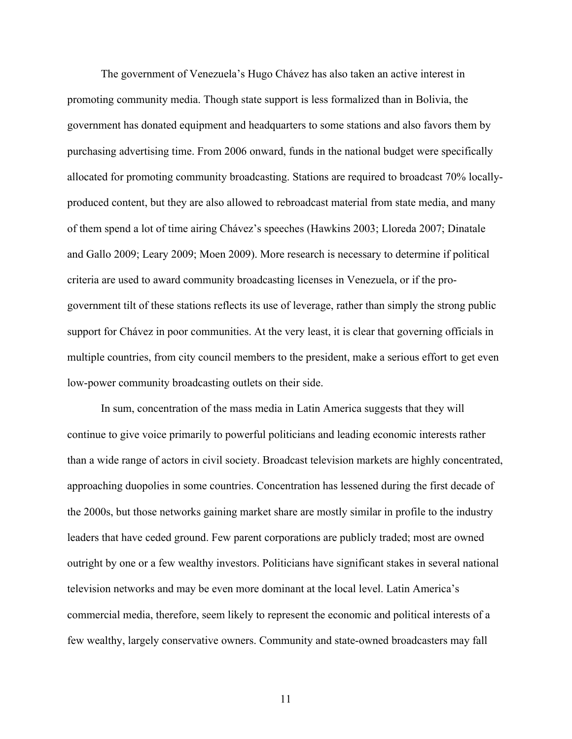The government of Venezuela's Hugo Chávez has also taken an active interest in promoting community media. Though state support is less formalized than in Bolivia, the government has donated equipment and headquarters to some stations and also favors them by purchasing advertising time. From 2006 onward, funds in the national budget were specifically allocated for promoting community broadcasting. Stations are required to broadcast 70% locallyproduced content, but they are also allowed to rebroadcast material from state media, and many of them spend a lot of time airing Chávez's speeches (Hawkins 2003; Lloreda 2007; Dinatale and Gallo 2009; Leary 2009; Moen 2009). More research is necessary to determine if political criteria are used to award community broadcasting licenses in Venezuela, or if the progovernment tilt of these stations reflects its use of leverage, rather than simply the strong public support for Chávez in poor communities. At the very least, it is clear that governing officials in multiple countries, from city council members to the president, make a serious effort to get even low-power community broadcasting outlets on their side.

In sum, concentration of the mass media in Latin America suggests that they will continue to give voice primarily to powerful politicians and leading economic interests rather than a wide range of actors in civil society. Broadcast television markets are highly concentrated, approaching duopolies in some countries. Concentration has lessened during the first decade of the 2000s, but those networks gaining market share are mostly similar in profile to the industry leaders that have ceded ground. Few parent corporations are publicly traded; most are owned outright by one or a few wealthy investors. Politicians have significant stakes in several national television networks and may be even more dominant at the local level. Latin America's commercial media, therefore, seem likely to represent the economic and political interests of a few wealthy, largely conservative owners. Community and state-owned broadcasters may fall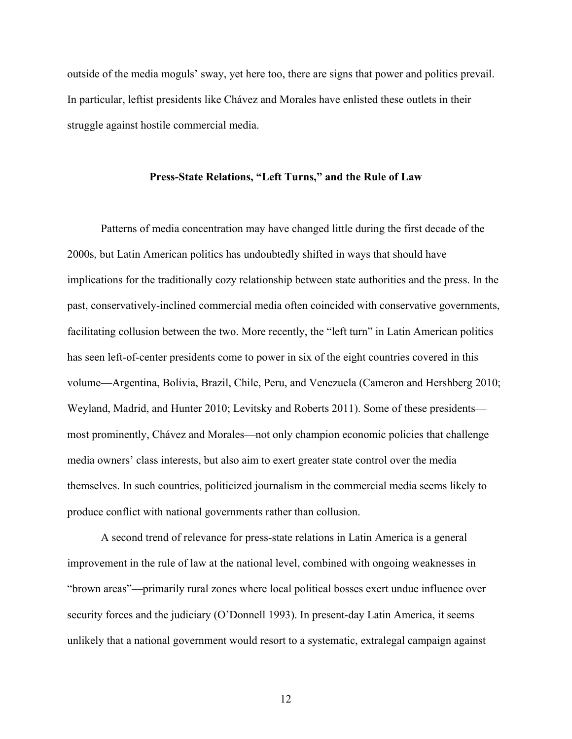outside of the media moguls' sway, yet here too, there are signs that power and politics prevail. In particular, leftist presidents like Chávez and Morales have enlisted these outlets in their struggle against hostile commercial media.

#### **Press-State Relations, "Left Turns," and the Rule of Law**

Patterns of media concentration may have changed little during the first decade of the 2000s, but Latin American politics has undoubtedly shifted in ways that should have implications for the traditionally cozy relationship between state authorities and the press. In the past, conservatively-inclined commercial media often coincided with conservative governments, facilitating collusion between the two. More recently, the "left turn" in Latin American politics has seen left-of-center presidents come to power in six of the eight countries covered in this volume—Argentina, Bolivia, Brazil, Chile, Peru, and Venezuela (Cameron and Hershberg 2010; Weyland, Madrid, and Hunter 2010; Levitsky and Roberts 2011). Some of these presidents most prominently, Chávez and Morales—not only champion economic policies that challenge media owners' class interests, but also aim to exert greater state control over the media themselves. In such countries, politicized journalism in the commercial media seems likely to produce conflict with national governments rather than collusion.

A second trend of relevance for press-state relations in Latin America is a general improvement in the rule of law at the national level, combined with ongoing weaknesses in "brown areas"—primarily rural zones where local political bosses exert undue influence over security forces and the judiciary (O'Donnell 1993). In present-day Latin America, it seems unlikely that a national government would resort to a systematic, extralegal campaign against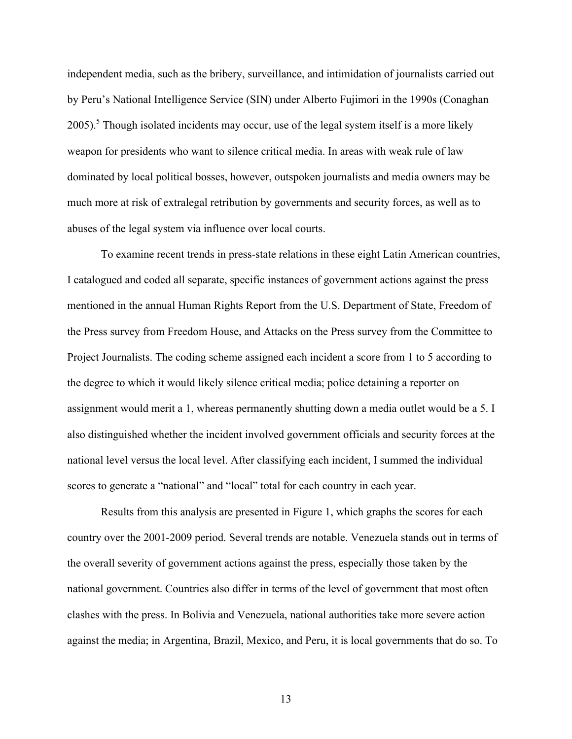independent media, such as the bribery, surveillance, and intimidation of journalists carried out by Peru's National Intelligence Service (SIN) under Alberto Fujimori in the 1990s (Conaghan 2005).<sup>5</sup> Though isolated incidents may occur, use of the legal system itself is a more likely weapon for presidents who want to silence critical media. In areas with weak rule of law dominated by local political bosses, however, outspoken journalists and media owners may be much more at risk of extralegal retribution by governments and security forces, as well as to abuses of the legal system via influence over local courts.

To examine recent trends in press-state relations in these eight Latin American countries, I catalogued and coded all separate, specific instances of government actions against the press mentioned in the annual Human Rights Report from the U.S. Department of State, Freedom of the Press survey from Freedom House, and Attacks on the Press survey from the Committee to Project Journalists. The coding scheme assigned each incident a score from 1 to 5 according to the degree to which it would likely silence critical media; police detaining a reporter on assignment would merit a 1, whereas permanently shutting down a media outlet would be a 5. I also distinguished whether the incident involved government officials and security forces at the national level versus the local level. After classifying each incident, I summed the individual scores to generate a "national" and "local" total for each country in each year.

Results from this analysis are presented in Figure 1, which graphs the scores for each country over the 2001-2009 period. Several trends are notable. Venezuela stands out in terms of the overall severity of government actions against the press, especially those taken by the national government. Countries also differ in terms of the level of government that most often clashes with the press. In Bolivia and Venezuela, national authorities take more severe action against the media; in Argentina, Brazil, Mexico, and Peru, it is local governments that do so. To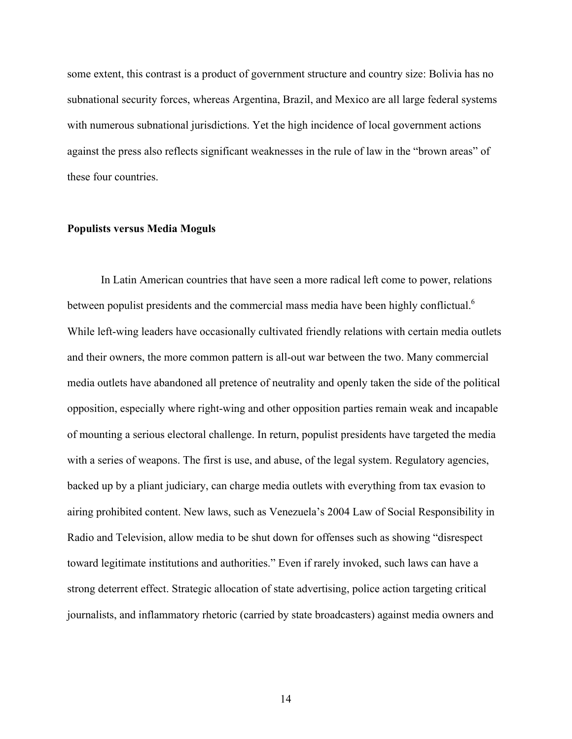some extent, this contrast is a product of government structure and country size: Bolivia has no subnational security forces, whereas Argentina, Brazil, and Mexico are all large federal systems with numerous subnational jurisdictions. Yet the high incidence of local government actions against the press also reflects significant weaknesses in the rule of law in the "brown areas" of these four countries.

#### **Populists versus Media Moguls**

In Latin American countries that have seen a more radical left come to power, relations between populist presidents and the commercial mass media have been highly conflictual.<sup>6</sup> While left-wing leaders have occasionally cultivated friendly relations with certain media outlets and their owners, the more common pattern is all-out war between the two. Many commercial media outlets have abandoned all pretence of neutrality and openly taken the side of the political opposition, especially where right-wing and other opposition parties remain weak and incapable of mounting a serious electoral challenge. In return, populist presidents have targeted the media with a series of weapons. The first is use, and abuse, of the legal system. Regulatory agencies, backed up by a pliant judiciary, can charge media outlets with everything from tax evasion to airing prohibited content. New laws, such as Venezuela's 2004 Law of Social Responsibility in Radio and Television, allow media to be shut down for offenses such as showing "disrespect toward legitimate institutions and authorities." Even if rarely invoked, such laws can have a strong deterrent effect. Strategic allocation of state advertising, police action targeting critical journalists, and inflammatory rhetoric (carried by state broadcasters) against media owners and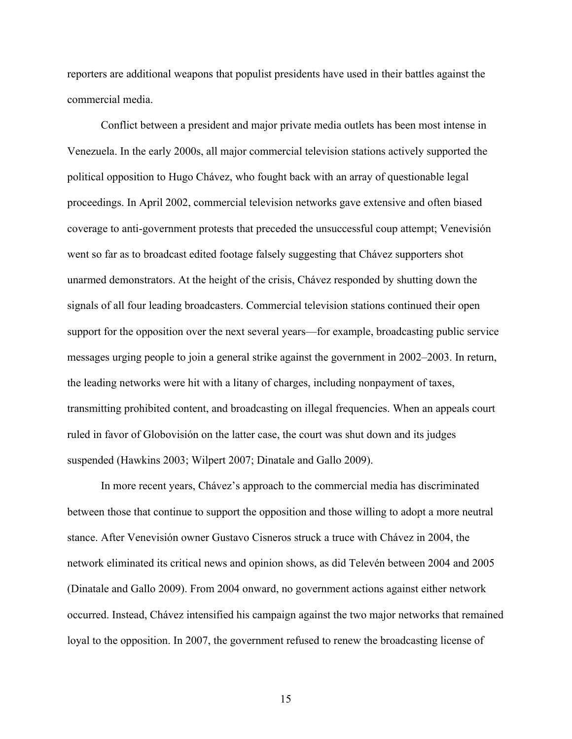reporters are additional weapons that populist presidents have used in their battles against the commercial media.

Conflict between a president and major private media outlets has been most intense in Venezuela. In the early 2000s, all major commercial television stations actively supported the political opposition to Hugo Chávez, who fought back with an array of questionable legal proceedings. In April 2002, commercial television networks gave extensive and often biased coverage to anti-government protests that preceded the unsuccessful coup attempt; Venevisión went so far as to broadcast edited footage falsely suggesting that Chávez supporters shot unarmed demonstrators. At the height of the crisis, Chávez responded by shutting down the signals of all four leading broadcasters. Commercial television stations continued their open support for the opposition over the next several years—for example, broadcasting public service messages urging people to join a general strike against the government in 2002–2003. In return, the leading networks were hit with a litany of charges, including nonpayment of taxes, transmitting prohibited content, and broadcasting on illegal frequencies. When an appeals court ruled in favor of Globovisión on the latter case, the court was shut down and its judges suspended (Hawkins 2003; Wilpert 2007; Dinatale and Gallo 2009).

In more recent years, Chávez's approach to the commercial media has discriminated between those that continue to support the opposition and those willing to adopt a more neutral stance. After Venevisión owner Gustavo Cisneros struck a truce with Chávez in 2004, the network eliminated its critical news and opinion shows, as did Televén between 2004 and 2005 (Dinatale and Gallo 2009). From 2004 onward, no government actions against either network occurred. Instead, Chávez intensified his campaign against the two major networks that remained loyal to the opposition. In 2007, the government refused to renew the broadcasting license of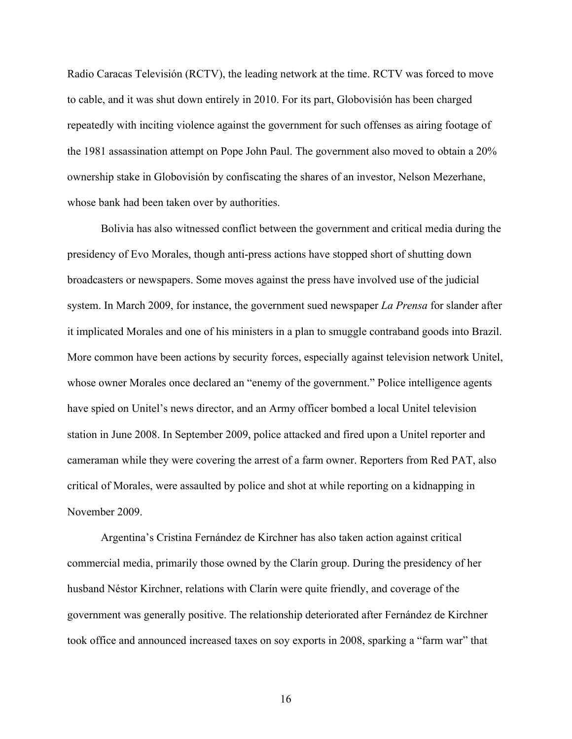Radio Caracas Televisión (RCTV), the leading network at the time. RCTV was forced to move to cable, and it was shut down entirely in 2010. For its part, Globovisión has been charged repeatedly with inciting violence against the government for such offenses as airing footage of the 1981 assassination attempt on Pope John Paul. The government also moved to obtain a 20% ownership stake in Globovisión by confiscating the shares of an investor, Nelson Mezerhane, whose bank had been taken over by authorities.

Bolivia has also witnessed conflict between the government and critical media during the presidency of Evo Morales, though anti-press actions have stopped short of shutting down broadcasters or newspapers. Some moves against the press have involved use of the judicial system. In March 2009, for instance, the government sued newspaper *La Prensa* for slander after it implicated Morales and one of his ministers in a plan to smuggle contraband goods into Brazil. More common have been actions by security forces, especially against television network Unitel, whose owner Morales once declared an "enemy of the government." Police intelligence agents have spied on Unitel's news director, and an Army officer bombed a local Unitel television station in June 2008. In September 2009, police attacked and fired upon a Unitel reporter and cameraman while they were covering the arrest of a farm owner. Reporters from Red PAT, also critical of Morales, were assaulted by police and shot at while reporting on a kidnapping in November 2009.

Argentina's Cristina Fernández de Kirchner has also taken action against critical commercial media, primarily those owned by the Clarín group. During the presidency of her husband Néstor Kirchner, relations with Clarín were quite friendly, and coverage of the government was generally positive. The relationship deteriorated after Fernández de Kirchner took office and announced increased taxes on soy exports in 2008, sparking a "farm war" that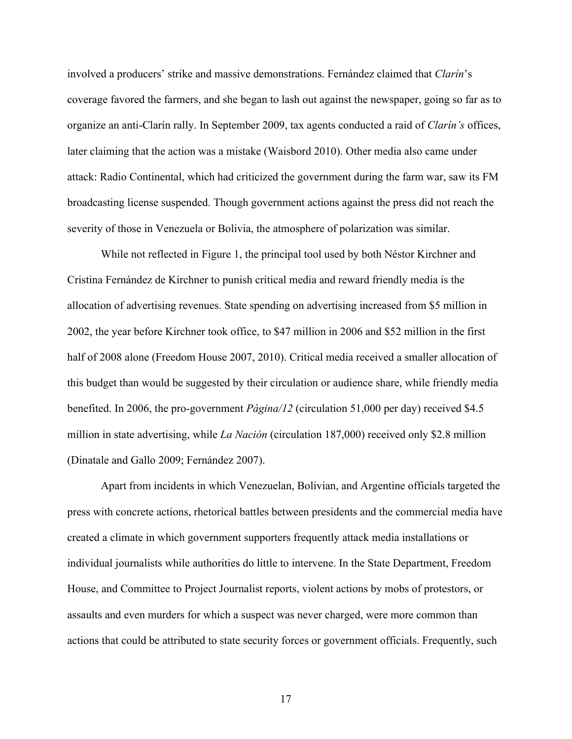involved a producers' strike and massive demonstrations. Fernández claimed that *Clarín*'s coverage favored the farmers, and she began to lash out against the newspaper, going so far as to organize an anti-Clarín rally. In September 2009, tax agents conducted a raid of *Clarín's* offices, later claiming that the action was a mistake (Waisbord 2010). Other media also came under attack: Radio Continental, which had criticized the government during the farm war, saw its FM broadcasting license suspended. Though government actions against the press did not reach the severity of those in Venezuela or Bolivia, the atmosphere of polarization was similar.

While not reflected in Figure 1, the principal tool used by both Néstor Kirchner and Cristina Fernández de Kirchner to punish critical media and reward friendly media is the allocation of advertising revenues. State spending on advertising increased from \$5 million in 2002, the year before Kirchner took office, to \$47 million in 2006 and \$52 million in the first half of 2008 alone (Freedom House 2007, 2010). Critical media received a smaller allocation of this budget than would be suggested by their circulation or audience share, while friendly media benefited. In 2006, the pro-government *Página/12* (circulation 51,000 per day) received \$4.5 million in state advertising, while *La Nación* (circulation 187,000) received only \$2.8 million (Dinatale and Gallo 2009; Fernández 2007).

Apart from incidents in which Venezuelan, Bolivian, and Argentine officials targeted the press with concrete actions, rhetorical battles between presidents and the commercial media have created a climate in which government supporters frequently attack media installations or individual journalists while authorities do little to intervene. In the State Department, Freedom House, and Committee to Project Journalist reports, violent actions by mobs of protestors, or assaults and even murders for which a suspect was never charged, were more common than actions that could be attributed to state security forces or government officials. Frequently, such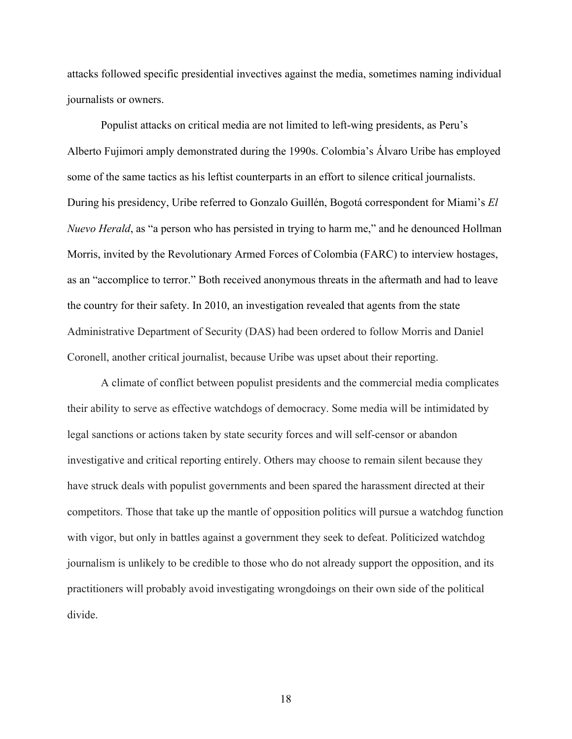attacks followed specific presidential invectives against the media, sometimes naming individual journalists or owners.

Populist attacks on critical media are not limited to left-wing presidents, as Peru's Alberto Fujimori amply demonstrated during the 1990s. Colombia's Álvaro Uribe has employed some of the same tactics as his leftist counterparts in an effort to silence critical journalists. During his presidency, Uribe referred to Gonzalo Guillén, Bogotá correspondent for Miami's *El Nuevo Herald*, as "a person who has persisted in trying to harm me," and he denounced Hollman Morris, invited by the Revolutionary Armed Forces of Colombia (FARC) to interview hostages, as an "accomplice to terror." Both received anonymous threats in the aftermath and had to leave the country for their safety. In 2010, an investigation revealed that agents from the state Administrative Department of Security (DAS) had been ordered to follow Morris and Daniel Coronell, another critical journalist, because Uribe was upset about their reporting.

A climate of conflict between populist presidents and the commercial media complicates their ability to serve as effective watchdogs of democracy. Some media will be intimidated by legal sanctions or actions taken by state security forces and will self-censor or abandon investigative and critical reporting entirely. Others may choose to remain silent because they have struck deals with populist governments and been spared the harassment directed at their competitors. Those that take up the mantle of opposition politics will pursue a watchdog function with vigor, but only in battles against a government they seek to defeat. Politicized watchdog journalism is unlikely to be credible to those who do not already support the opposition, and its practitioners will probably avoid investigating wrongdoings on their own side of the political divide.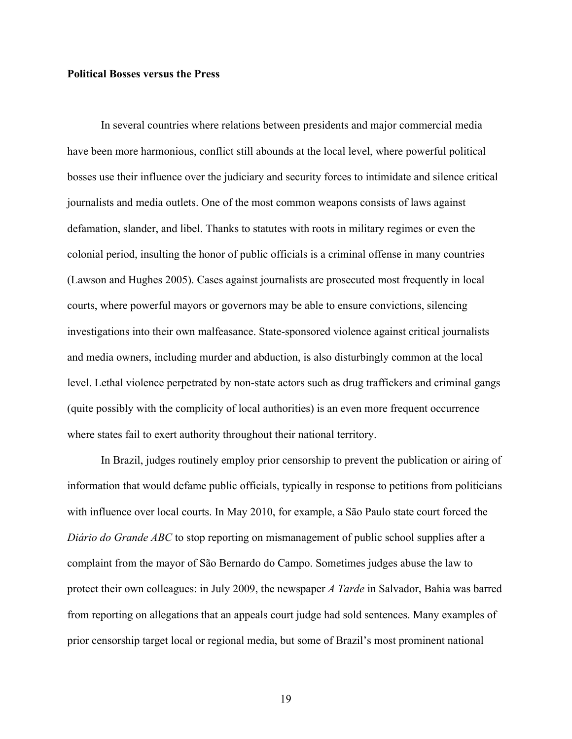#### **Political Bosses versus the Press**

In several countries where relations between presidents and major commercial media have been more harmonious, conflict still abounds at the local level, where powerful political bosses use their influence over the judiciary and security forces to intimidate and silence critical journalists and media outlets. One of the most common weapons consists of laws against defamation, slander, and libel. Thanks to statutes with roots in military regimes or even the colonial period, insulting the honor of public officials is a criminal offense in many countries (Lawson and Hughes 2005). Cases against journalists are prosecuted most frequently in local courts, where powerful mayors or governors may be able to ensure convictions, silencing investigations into their own malfeasance. State-sponsored violence against critical journalists and media owners, including murder and abduction, is also disturbingly common at the local level. Lethal violence perpetrated by non-state actors such as drug traffickers and criminal gangs (quite possibly with the complicity of local authorities) is an even more frequent occurrence where states fail to exert authority throughout their national territory.

In Brazil, judges routinely employ prior censorship to prevent the publication or airing of information that would defame public officials, typically in response to petitions from politicians with influence over local courts. In May 2010, for example, a São Paulo state court forced the *Diário do Grande ABC* to stop reporting on mismanagement of public school supplies after a complaint from the mayor of São Bernardo do Campo. Sometimes judges abuse the law to protect their own colleagues: in July 2009, the newspaper *A Tarde* in Salvador, Bahia was barred from reporting on allegations that an appeals court judge had sold sentences. Many examples of prior censorship target local or regional media, but some of Brazil's most prominent national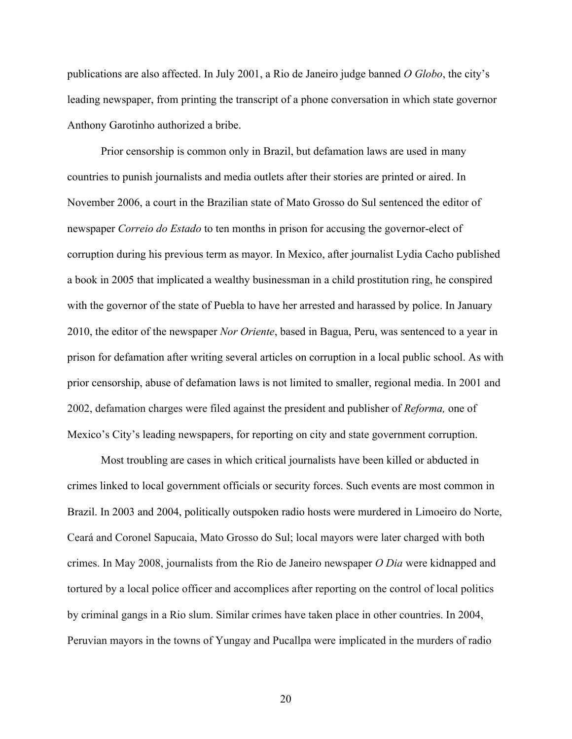publications are also affected. In July 2001, a Rio de Janeiro judge banned *O Globo*, the city's leading newspaper, from printing the transcript of a phone conversation in which state governor Anthony Garotinho authorized a bribe.

Prior censorship is common only in Brazil, but defamation laws are used in many countries to punish journalists and media outlets after their stories are printed or aired. In November 2006, a court in the Brazilian state of Mato Grosso do Sul sentenced the editor of newspaper *Correio do Estado* to ten months in prison for accusing the governor-elect of corruption during his previous term as mayor. In Mexico, after journalist Lydia Cacho published a book in 2005 that implicated a wealthy businessman in a child prostitution ring, he conspired with the governor of the state of Puebla to have her arrested and harassed by police. In January 2010, the editor of the newspaper *Nor Oriente*, based in Bagua, Peru, was sentenced to a year in prison for defamation after writing several articles on corruption in a local public school. As with prior censorship, abuse of defamation laws is not limited to smaller, regional media. In 2001 and 2002, defamation charges were filed against the president and publisher of *Reforma,* one of Mexico's City's leading newspapers, for reporting on city and state government corruption.

Most troubling are cases in which critical journalists have been killed or abducted in crimes linked to local government officials or security forces. Such events are most common in Brazil. In 2003 and 2004, politically outspoken radio hosts were murdered in Limoeiro do Norte, Ceará and Coronel Sapucaia, Mato Grosso do Sul; local mayors were later charged with both crimes. In May 2008, journalists from the Rio de Janeiro newspaper *O Dia* were kidnapped and tortured by a local police officer and accomplices after reporting on the control of local politics by criminal gangs in a Rio slum. Similar crimes have taken place in other countries. In 2004, Peruvian mayors in the towns of Yungay and Pucallpa were implicated in the murders of radio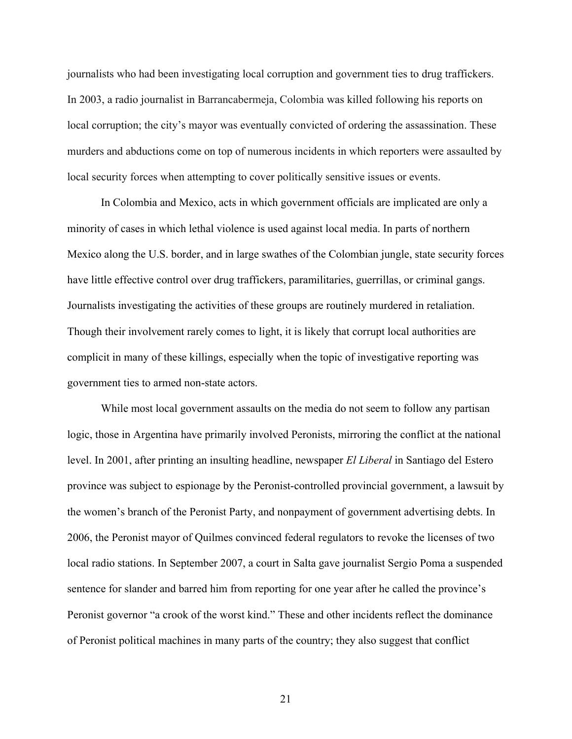journalists who had been investigating local corruption and government ties to drug traffickers. In 2003, a radio journalist in Barrancabermeja, Colombia was killed following his reports on local corruption; the city's mayor was eventually convicted of ordering the assassination. These murders and abductions come on top of numerous incidents in which reporters were assaulted by local security forces when attempting to cover politically sensitive issues or events.

In Colombia and Mexico, acts in which government officials are implicated are only a minority of cases in which lethal violence is used against local media. In parts of northern Mexico along the U.S. border, and in large swathes of the Colombian jungle, state security forces have little effective control over drug traffickers, paramilitaries, guerrillas, or criminal gangs. Journalists investigating the activities of these groups are routinely murdered in retaliation. Though their involvement rarely comes to light, it is likely that corrupt local authorities are complicit in many of these killings, especially when the topic of investigative reporting was government ties to armed non-state actors.

While most local government assaults on the media do not seem to follow any partisan logic, those in Argentina have primarily involved Peronists, mirroring the conflict at the national level. In 2001, after printing an insulting headline, newspaper *El Liberal* in Santiago del Estero province was subject to espionage by the Peronist-controlled provincial government, a lawsuit by the women's branch of the Peronist Party, and nonpayment of government advertising debts. In 2006, the Peronist mayor of Quilmes convinced federal regulators to revoke the licenses of two local radio stations. In September 2007, a court in Salta gave journalist Sergio Poma a suspended sentence for slander and barred him from reporting for one year after he called the province's Peronist governor "a crook of the worst kind." These and other incidents reflect the dominance of Peronist political machines in many parts of the country; they also suggest that conflict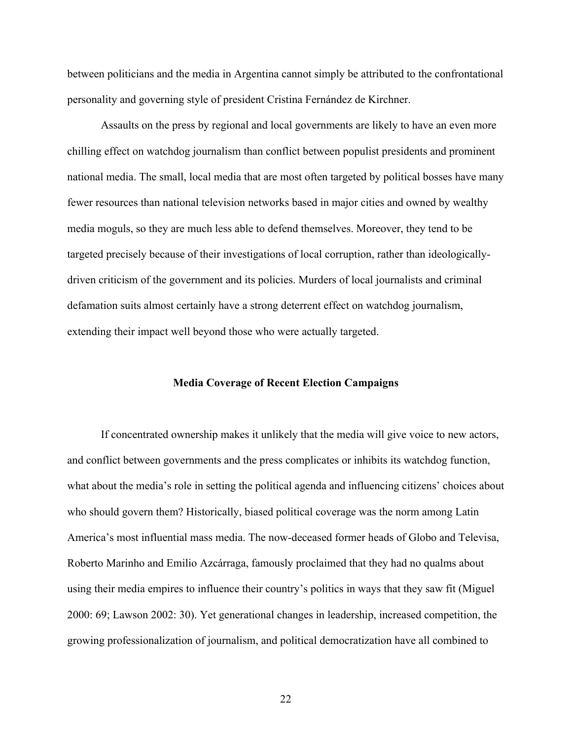between politicians and the media in Argentina cannot simply be attributed to the confrontational personality and governing style of president Cristina Fernández de Kirchner.

Assaults on the press by regional and local governments are likely to have an even more chilling effect on watchdog journalism than conflict between populist presidents and prominent national media. The small, local media that are most often targeted by political bosses have many fewer resources than national television networks based in major cities and owned by wealthy media moguls, so they are much less able to defend themselves. Moreover, they tend to be targeted precisely because of their investigations of local corruption, rather than ideologicallydriven criticism of the government and its policies. Murders of local journalists and criminal defamation suits almost certainly have a strong deterrent effect on watchdog journalism, extending their impact well beyond those who were actually targeted.

#### **Media Coverage of Recent Election Campaigns**

If concentrated ownership makes it unlikely that the media will give voice to new actors, and conflict between governments and the press complicates or inhibits its watchdog function, what about the media's role in setting the political agenda and influencing citizens' choices about who should govern them? Historically, biased political coverage was the norm among Latin America's most influential mass media. The now-deceased former heads of Globo and Televisa, Roberto Marinho and Emilio Azcárraga, famously proclaimed that they had no qualms about using their media empires to influence their country's politics in ways that they saw fit (Miguel 2000: 69; Lawson 2002: 30). Yet generational changes in leadership, increased competition, the growing professionalization of journalism, and political democratization have all combined to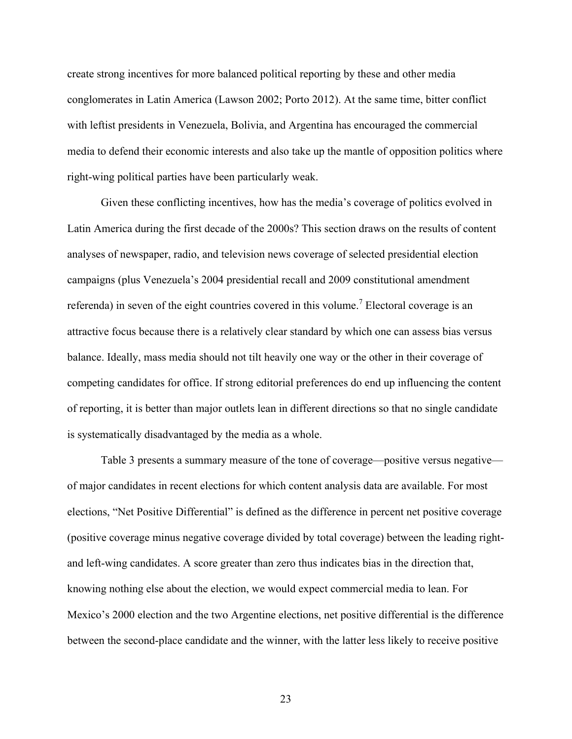create strong incentives for more balanced political reporting by these and other media conglomerates in Latin America (Lawson 2002; Porto 2012). At the same time, bitter conflict with leftist presidents in Venezuela, Bolivia, and Argentina has encouraged the commercial media to defend their economic interests and also take up the mantle of opposition politics where right-wing political parties have been particularly weak.

Given these conflicting incentives, how has the media's coverage of politics evolved in Latin America during the first decade of the 2000s? This section draws on the results of content analyses of newspaper, radio, and television news coverage of selected presidential election campaigns (plus Venezuela's 2004 presidential recall and 2009 constitutional amendment referenda) in seven of the eight countries covered in this volume.<sup>7</sup> Electoral coverage is an attractive focus because there is a relatively clear standard by which one can assess bias versus balance. Ideally, mass media should not tilt heavily one way or the other in their coverage of competing candidates for office. If strong editorial preferences do end up influencing the content of reporting, it is better than major outlets lean in different directions so that no single candidate is systematically disadvantaged by the media as a whole.

Table 3 presents a summary measure of the tone of coverage—positive versus negative of major candidates in recent elections for which content analysis data are available. For most elections, "Net Positive Differential" is defined as the difference in percent net positive coverage (positive coverage minus negative coverage divided by total coverage) between the leading rightand left-wing candidates. A score greater than zero thus indicates bias in the direction that, knowing nothing else about the election, we would expect commercial media to lean. For Mexico's 2000 election and the two Argentine elections, net positive differential is the difference between the second-place candidate and the winner, with the latter less likely to receive positive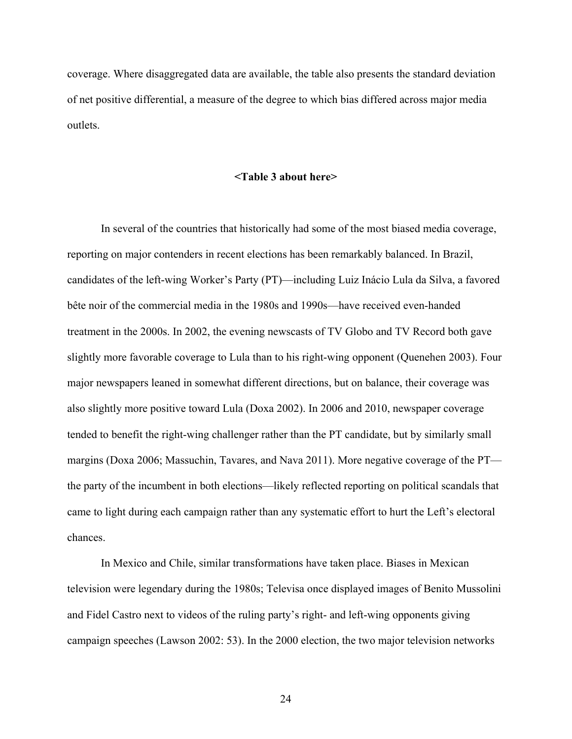coverage. Where disaggregated data are available, the table also presents the standard deviation of net positive differential, a measure of the degree to which bias differed across major media outlets.

#### **<Table 3 about here>**

In several of the countries that historically had some of the most biased media coverage, reporting on major contenders in recent elections has been remarkably balanced. In Brazil, candidates of the left-wing Worker's Party (PT)—including Luiz Inácio Lula da Silva, a favored bête noir of the commercial media in the 1980s and 1990s—have received even-handed treatment in the 2000s. In 2002, the evening newscasts of TV Globo and TV Record both gave slightly more favorable coverage to Lula than to his right-wing opponent (Quenehen 2003). Four major newspapers leaned in somewhat different directions, but on balance, their coverage was also slightly more positive toward Lula (Doxa 2002). In 2006 and 2010, newspaper coverage tended to benefit the right-wing challenger rather than the PT candidate, but by similarly small margins (Doxa 2006; Massuchin, Tavares, and Nava 2011). More negative coverage of the PT the party of the incumbent in both elections—likely reflected reporting on political scandals that came to light during each campaign rather than any systematic effort to hurt the Left's electoral chances.

In Mexico and Chile, similar transformations have taken place. Biases in Mexican television were legendary during the 1980s; Televisa once displayed images of Benito Mussolini and Fidel Castro next to videos of the ruling party's right- and left-wing opponents giving campaign speeches (Lawson 2002: 53). In the 2000 election, the two major television networks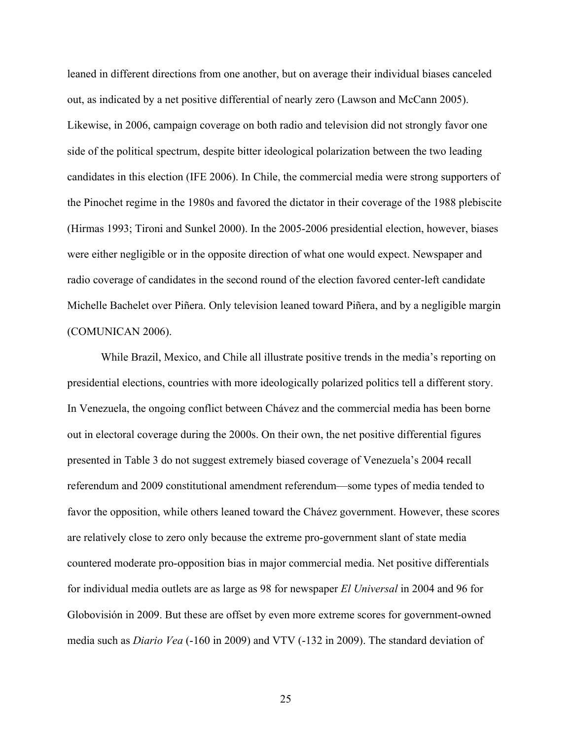leaned in different directions from one another, but on average their individual biases canceled out, as indicated by a net positive differential of nearly zero (Lawson and McCann 2005). Likewise, in 2006, campaign coverage on both radio and television did not strongly favor one side of the political spectrum, despite bitter ideological polarization between the two leading candidates in this election (IFE 2006). In Chile, the commercial media were strong supporters of the Pinochet regime in the 1980s and favored the dictator in their coverage of the 1988 plebiscite (Hirmas 1993; Tironi and Sunkel 2000). In the 2005-2006 presidential election, however, biases were either negligible or in the opposite direction of what one would expect. Newspaper and radio coverage of candidates in the second round of the election favored center-left candidate Michelle Bachelet over Piñera. Only television leaned toward Piñera, and by a negligible margin (COMUNICAN 2006).

While Brazil, Mexico, and Chile all illustrate positive trends in the media's reporting on presidential elections, countries with more ideologically polarized politics tell a different story. In Venezuela, the ongoing conflict between Chávez and the commercial media has been borne out in electoral coverage during the 2000s. On their own, the net positive differential figures presented in Table 3 do not suggest extremely biased coverage of Venezuela's 2004 recall referendum and 2009 constitutional amendment referendum—some types of media tended to favor the opposition, while others leaned toward the Chávez government. However, these scores are relatively close to zero only because the extreme pro-government slant of state media countered moderate pro-opposition bias in major commercial media. Net positive differentials for individual media outlets are as large as 98 for newspaper *El Universal* in 2004 and 96 for Globovisión in 2009. But these are offset by even more extreme scores for government-owned media such as *Diario Vea* (-160 in 2009) and VTV (-132 in 2009). The standard deviation of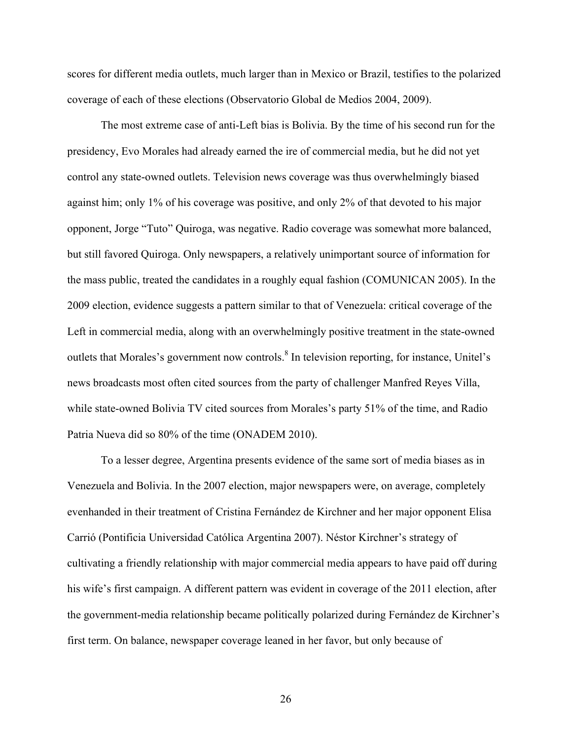scores for different media outlets, much larger than in Mexico or Brazil, testifies to the polarized coverage of each of these elections (Observatorio Global de Medios 2004, 2009).

The most extreme case of anti-Left bias is Bolivia. By the time of his second run for the presidency, Evo Morales had already earned the ire of commercial media, but he did not yet control any state-owned outlets. Television news coverage was thus overwhelmingly biased against him; only 1% of his coverage was positive, and only 2% of that devoted to his major opponent, Jorge "Tuto" Quiroga, was negative. Radio coverage was somewhat more balanced, but still favored Quiroga. Only newspapers, a relatively unimportant source of information for the mass public, treated the candidates in a roughly equal fashion (COMUNICAN 2005). In the 2009 election, evidence suggests a pattern similar to that of Venezuela: critical coverage of the Left in commercial media, along with an overwhelmingly positive treatment in the state-owned outlets that Morales's government now controls.<sup>8</sup> In television reporting, for instance, Unitel's news broadcasts most often cited sources from the party of challenger Manfred Reyes Villa, while state-owned Bolivia TV cited sources from Morales's party 51% of the time, and Radio Patria Nueva did so 80% of the time (ONADEM 2010).

To a lesser degree, Argentina presents evidence of the same sort of media biases as in Venezuela and Bolivia. In the 2007 election, major newspapers were, on average, completely evenhanded in their treatment of Cristina Fernández de Kirchner and her major opponent Elisa Carrió (Pontificia Universidad Católica Argentina 2007). Néstor Kirchner's strategy of cultivating a friendly relationship with major commercial media appears to have paid off during his wife's first campaign. A different pattern was evident in coverage of the 2011 election, after the government-media relationship became politically polarized during Fernández de Kirchner's first term. On balance, newspaper coverage leaned in her favor, but only because of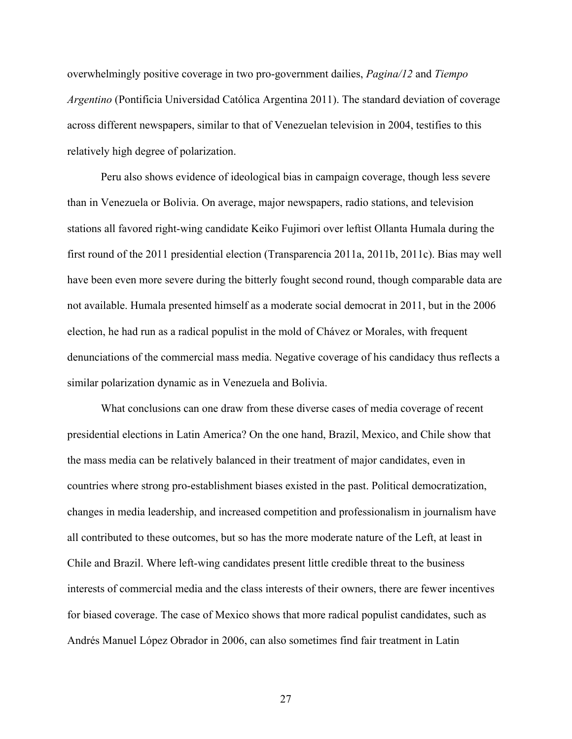overwhelmingly positive coverage in two pro-government dailies, *Pagina/12* and *Tiempo Argentino* (Pontificia Universidad Católica Argentina 2011). The standard deviation of coverage across different newspapers, similar to that of Venezuelan television in 2004, testifies to this relatively high degree of polarization.

Peru also shows evidence of ideological bias in campaign coverage, though less severe than in Venezuela or Bolivia. On average, major newspapers, radio stations, and television stations all favored right-wing candidate Keiko Fujimori over leftist Ollanta Humala during the first round of the 2011 presidential election (Transparencia 2011a, 2011b, 2011c). Bias may well have been even more severe during the bitterly fought second round, though comparable data are not available. Humala presented himself as a moderate social democrat in 2011, but in the 2006 election, he had run as a radical populist in the mold of Chávez or Morales, with frequent denunciations of the commercial mass media. Negative coverage of his candidacy thus reflects a similar polarization dynamic as in Venezuela and Bolivia.

What conclusions can one draw from these diverse cases of media coverage of recent presidential elections in Latin America? On the one hand, Brazil, Mexico, and Chile show that the mass media can be relatively balanced in their treatment of major candidates, even in countries where strong pro-establishment biases existed in the past. Political democratization, changes in media leadership, and increased competition and professionalism in journalism have all contributed to these outcomes, but so has the more moderate nature of the Left, at least in Chile and Brazil. Where left-wing candidates present little credible threat to the business interests of commercial media and the class interests of their owners, there are fewer incentives for biased coverage. The case of Mexico shows that more radical populist candidates, such as Andrés Manuel López Obrador in 2006, can also sometimes find fair treatment in Latin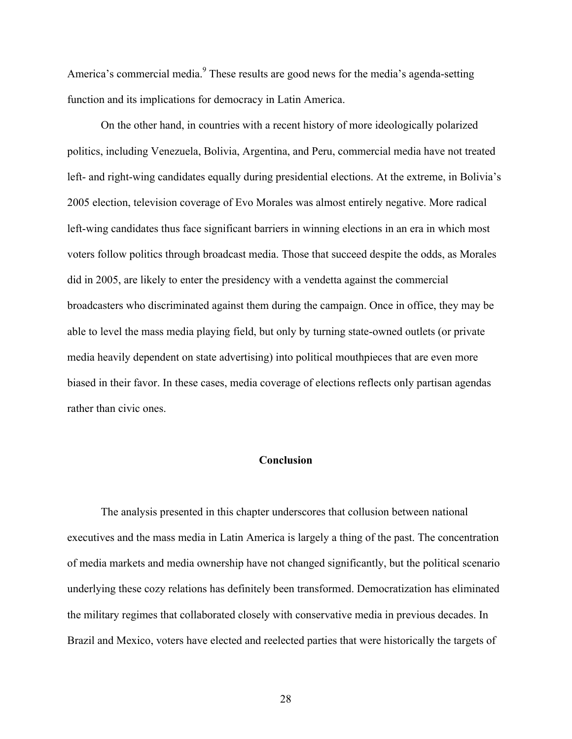America's commercial media.<sup>9</sup> These results are good news for the media's agenda-setting function and its implications for democracy in Latin America.

On the other hand, in countries with a recent history of more ideologically polarized politics, including Venezuela, Bolivia, Argentina, and Peru, commercial media have not treated left- and right-wing candidates equally during presidential elections. At the extreme, in Bolivia's 2005 election, television coverage of Evo Morales was almost entirely negative. More radical left-wing candidates thus face significant barriers in winning elections in an era in which most voters follow politics through broadcast media. Those that succeed despite the odds, as Morales did in 2005, are likely to enter the presidency with a vendetta against the commercial broadcasters who discriminated against them during the campaign. Once in office, they may be able to level the mass media playing field, but only by turning state-owned outlets (or private media heavily dependent on state advertising) into political mouthpieces that are even more biased in their favor. In these cases, media coverage of elections reflects only partisan agendas rather than civic ones.

# **Conclusion**

The analysis presented in this chapter underscores that collusion between national executives and the mass media in Latin America is largely a thing of the past. The concentration of media markets and media ownership have not changed significantly, but the political scenario underlying these cozy relations has definitely been transformed. Democratization has eliminated the military regimes that collaborated closely with conservative media in previous decades. In Brazil and Mexico, voters have elected and reelected parties that were historically the targets of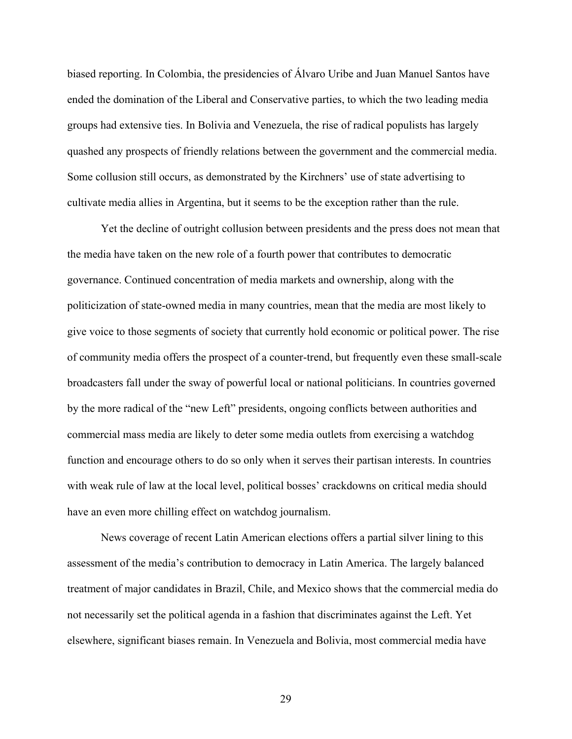biased reporting. In Colombia, the presidencies of Álvaro Uribe and Juan Manuel Santos have ended the domination of the Liberal and Conservative parties, to which the two leading media groups had extensive ties. In Bolivia and Venezuela, the rise of radical populists has largely quashed any prospects of friendly relations between the government and the commercial media. Some collusion still occurs, as demonstrated by the Kirchners' use of state advertising to cultivate media allies in Argentina, but it seems to be the exception rather than the rule.

Yet the decline of outright collusion between presidents and the press does not mean that the media have taken on the new role of a fourth power that contributes to democratic governance. Continued concentration of media markets and ownership, along with the politicization of state-owned media in many countries, mean that the media are most likely to give voice to those segments of society that currently hold economic or political power. The rise of community media offers the prospect of a counter-trend, but frequently even these small-scale broadcasters fall under the sway of powerful local or national politicians. In countries governed by the more radical of the "new Left" presidents, ongoing conflicts between authorities and commercial mass media are likely to deter some media outlets from exercising a watchdog function and encourage others to do so only when it serves their partisan interests. In countries with weak rule of law at the local level, political bosses' crackdowns on critical media should have an even more chilling effect on watchdog journalism.

News coverage of recent Latin American elections offers a partial silver lining to this assessment of the media's contribution to democracy in Latin America. The largely balanced treatment of major candidates in Brazil, Chile, and Mexico shows that the commercial media do not necessarily set the political agenda in a fashion that discriminates against the Left. Yet elsewhere, significant biases remain. In Venezuela and Bolivia, most commercial media have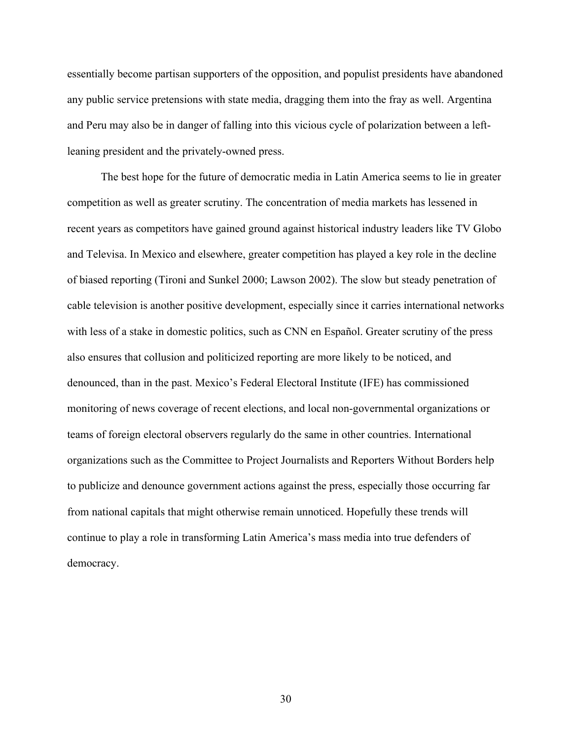essentially become partisan supporters of the opposition, and populist presidents have abandoned any public service pretensions with state media, dragging them into the fray as well. Argentina and Peru may also be in danger of falling into this vicious cycle of polarization between a leftleaning president and the privately-owned press.

The best hope for the future of democratic media in Latin America seems to lie in greater competition as well as greater scrutiny. The concentration of media markets has lessened in recent years as competitors have gained ground against historical industry leaders like TV Globo and Televisa. In Mexico and elsewhere, greater competition has played a key role in the decline of biased reporting (Tironi and Sunkel 2000; Lawson 2002). The slow but steady penetration of cable television is another positive development, especially since it carries international networks with less of a stake in domestic politics, such as CNN en Español. Greater scrutiny of the press also ensures that collusion and politicized reporting are more likely to be noticed, and denounced, than in the past. Mexico's Federal Electoral Institute (IFE) has commissioned monitoring of news coverage of recent elections, and local non-governmental organizations or teams of foreign electoral observers regularly do the same in other countries. International organizations such as the Committee to Project Journalists and Reporters Without Borders help to publicize and denounce government actions against the press, especially those occurring far from national capitals that might otherwise remain unnoticed. Hopefully these trends will continue to play a role in transforming Latin America's mass media into true defenders of democracy.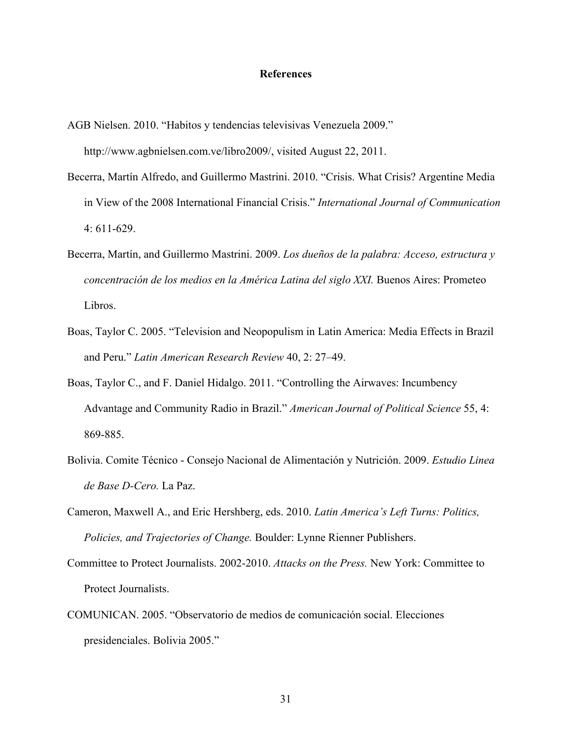#### **References**

AGB Nielsen. 2010. "Habitos y tendencias televisivas Venezuela 2009."

http://www.agbnielsen.com.ve/libro2009/, visited August 22, 2011.

- Becerra, Martín Alfredo, and Guillermo Mastrini. 2010. "Crisis. What Crisis? Argentine Media in View of the 2008 International Financial Crisis." *International Journal of Communication* 4: 611-629.
- Becerra, Martín, and Guillermo Mastrini. 2009. *Los dueños de la palabra: Acceso, estructura y concentración de los medios en la América Latina del siglo XXI.* Buenos Aires: Prometeo Libros.
- Boas, Taylor C. 2005. "Television and Neopopulism in Latin America: Media Effects in Brazil and Peru." *Latin American Research Review* 40, 2: 27–49.
- Boas, Taylor C., and F. Daniel Hidalgo. 2011. "Controlling the Airwaves: Incumbency Advantage and Community Radio in Brazil." *American Journal of Political Science* 55, 4: 869-885.
- Bolivia. Comite Técnico Consejo Nacional de Alimentación y Nutrición. 2009. *Estudio Linea de Base D-Cero.* La Paz.
- Cameron, Maxwell A., and Eric Hershberg, eds. 2010. *Latin America's Left Turns: Politics, Policies, and Trajectories of Change.* Boulder: Lynne Rienner Publishers.
- Committee to Protect Journalists. 2002-2010. *Attacks on the Press.* New York: Committee to Protect Journalists.
- COMUNICAN. 2005. "Observatorio de medios de comunicación social. Elecciones presidenciales. Bolivia 2005."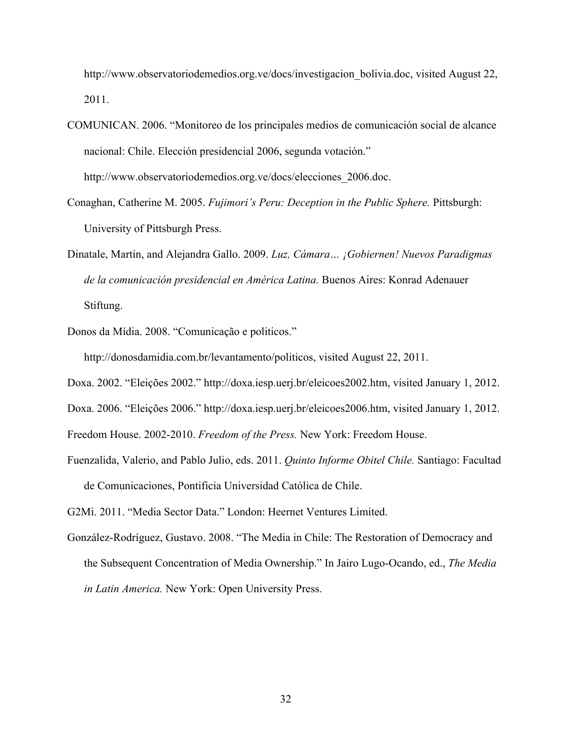http://www.observatoriodemedios.org.ve/docs/investigacion\_bolivia.doc, visited August 22, 2011.

- COMUNICAN. 2006. "Monitoreo de los principales medios de comunicación social de alcance nacional: Chile. Elección presidencial 2006, segunda votación." http://www.observatoriodemedios.org.ve/docs/elecciones\_2006.doc.
- Conaghan, Catherine M. 2005. *Fujimori's Peru: Deception in the Public Sphere.* Pittsburgh: University of Pittsburgh Press.
- Dinatale, Martín, and Alejandra Gallo. 2009. *Luz, Cámara… ¡Gobiernen! Nuevos Paradigmas de la comunicación presidencial en América Latina.* Buenos Aires: Konrad Adenauer Stiftung.
- Donos da Mídia. 2008. "Comunicação e politicos."

http://donosdamidia.com.br/levantamento/politicos, visited August 22, 2011.

Doxa. 2002. "Eleições 2002." http://doxa.iesp.uerj.br/eleicoes2002.htm, visited January 1, 2012.

Doxa. 2006. "Eleições 2006." http://doxa.iesp.uerj.br/eleicoes2006.htm, visited January 1, 2012.

Freedom House. 2002-2010. *Freedom of the Press.* New York: Freedom House.

Fuenzalida, Valerio, and Pablo Julio, eds. 2011. *Quinto Informe Obitel Chile.* Santiago: Facultad de Comunicaciones, Pontificia Universidad Católica de Chile.

G2Mi. 2011. "Media Sector Data." London: Heernet Ventures Limited.

González-Rodríguez, Gustavo. 2008. "The Media in Chile: The Restoration of Democracy and the Subsequent Concentration of Media Ownership." In Jairo Lugo-Ocando, ed., *The Media in Latin America.* New York: Open University Press.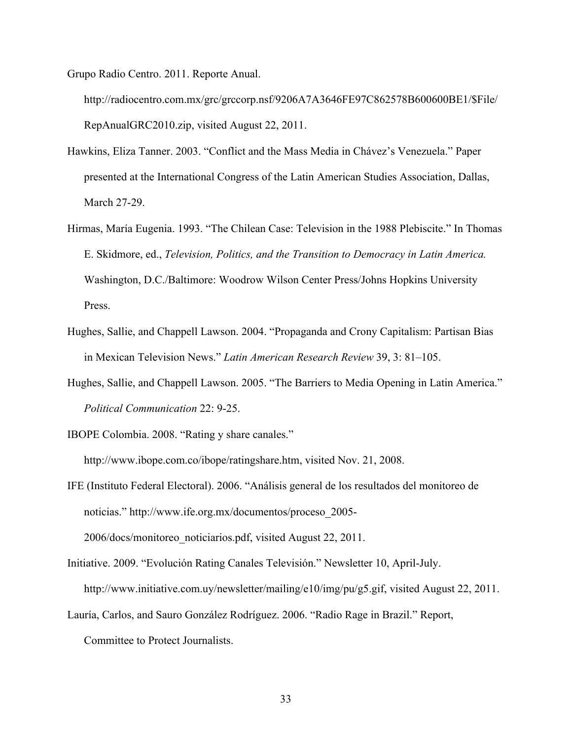Grupo Radio Centro. 2011. Reporte Anual.

http://radiocentro.com.mx/grc/grccorp.nsf/9206A7A3646FE97C862578B600600BE1/\$File/ RepAnualGRC2010.zip, visited August 22, 2011.

- Hawkins, Eliza Tanner. 2003. "Conflict and the Mass Media in Chávez's Venezuela." Paper presented at the International Congress of the Latin American Studies Association, Dallas, March 27-29.
- Hirmas, María Eugenia. 1993. "The Chilean Case: Television in the 1988 Plebiscite." In Thomas E. Skidmore, ed., *Television, Politics, and the Transition to Democracy in Latin America.*  Washington, D.C./Baltimore: Woodrow Wilson Center Press/Johns Hopkins University Press.
- Hughes, Sallie, and Chappell Lawson. 2004. "Propaganda and Crony Capitalism: Partisan Bias in Mexican Television News." *Latin American Research Review* 39, 3: 81–105.
- Hughes, Sallie, and Chappell Lawson. 2005. "The Barriers to Media Opening in Latin America." *Political Communication* 22: 9-25.
- IBOPE Colombia. 2008. "Rating y share canales."

http://www.ibope.com.co/ibope/ratingshare.htm, visited Nov. 21, 2008.

- IFE (Instituto Federal Electoral). 2006. "Análisis general de los resultados del monitoreo de noticias." http://www.ife.org.mx/documentos/proceso\_2005- 2006/docs/monitoreo\_noticiarios.pdf, visited August 22, 2011.
- Initiative. 2009. "Evolución Rating Canales Televisión." Newsletter 10, April-July. http://www.initiative.com.uy/newsletter/mailing/e10/img/pu/g5.gif, visited August 22, 2011.
- Lauría, Carlos, and Sauro González Rodríguez. 2006. "Radio Rage in Brazil." Report,

Committee to Protect Journalists.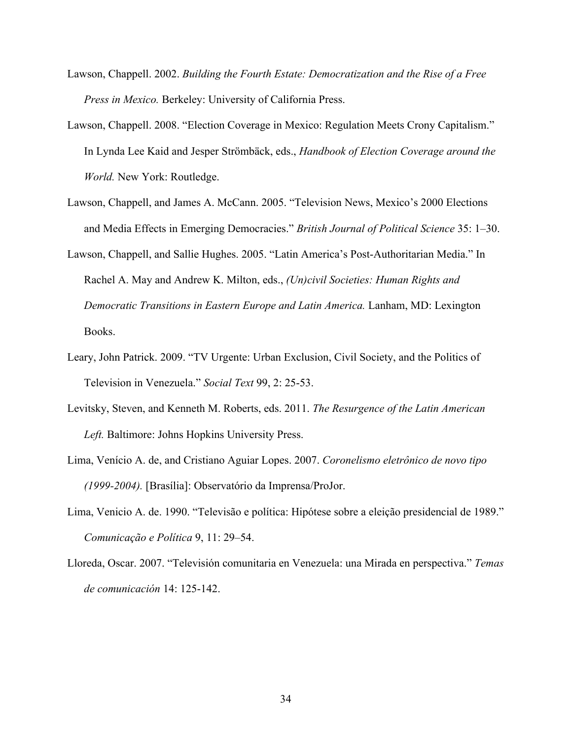- Lawson, Chappell. 2002. *Building the Fourth Estate: Democratization and the Rise of a Free Press in Mexico.* Berkeley: University of California Press.
- Lawson, Chappell. 2008. "Election Coverage in Mexico: Regulation Meets Crony Capitalism." In Lynda Lee Kaid and Jesper Strömbäck, eds., *Handbook of Election Coverage around the World.* New York: Routledge.
- Lawson, Chappell, and James A. McCann. 2005. "Television News, Mexico's 2000 Elections and Media Effects in Emerging Democracies." *British Journal of Political Science* 35: 1–30.
- Lawson, Chappell, and Sallie Hughes. 2005. "Latin America's Post-Authoritarian Media." In Rachel A. May and Andrew K. Milton, eds., *(Un)civil Societies: Human Rights and Democratic Transitions in Eastern Europe and Latin America.* Lanham, MD: Lexington Books.
- Leary, John Patrick. 2009. "TV Urgente: Urban Exclusion, Civil Society, and the Politics of Television in Venezuela." *Social Text* 99, 2: 25-53.
- Levitsky, Steven, and Kenneth M. Roberts, eds. 2011. *The Resurgence of the Latin American Left.* Baltimore: Johns Hopkins University Press.
- Lima, Venício A. de, and Cristiano Aguiar Lopes. 2007. *Coronelismo eletrônico de novo tipo (1999-2004).* [Brasília]: Observatório da Imprensa/ProJor.
- Lima, Venicio A. de. 1990. "Televisão e política: Hipótese sobre a eleição presidencial de 1989." *Comunicação e Política* 9, 11: 29–54.
- Lloreda, Oscar. 2007. "Televisión comunitaria en Venezuela: una Mirada en perspectiva." *Temas de comunicación* 14: 125-142.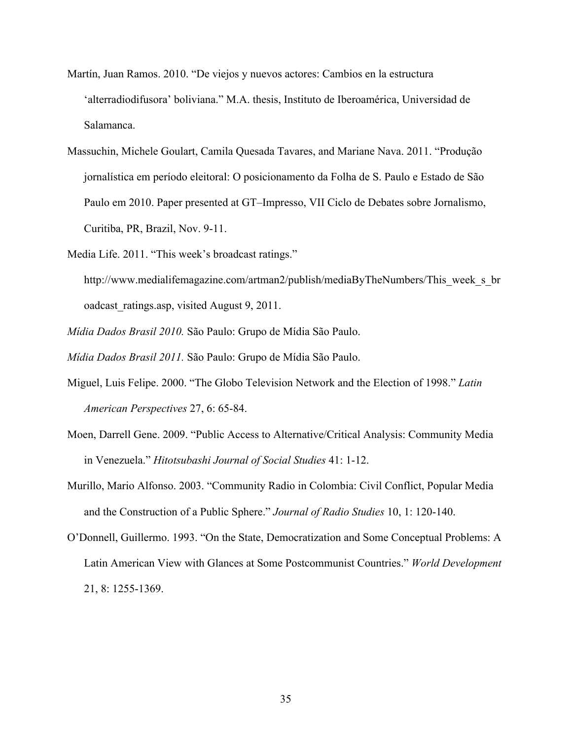- Martín, Juan Ramos. 2010. "De viejos y nuevos actores: Cambios en la estructura 'alterradiodifusora' boliviana." M.A. thesis, Instituto de Iberoamérica, Universidad de Salamanca.
- Massuchin, Michele Goulart, Camila Quesada Tavares, and Mariane Nava. 2011. "Produção jornalística em período eleitoral: O posicionamento da Folha de S. Paulo e Estado de São Paulo em 2010. Paper presented at GT–Impresso, VII Ciclo de Debates sobre Jornalismo, Curitiba, PR, Brazil, Nov. 9-11.
- Media Life. 2011. "This week's broadcast ratings."
	- http://www.medialifemagazine.com/artman2/publish/mediaByTheNumbers/This\_week\_s\_br oadcast ratings.asp, visited August 9, 2011.
- *Mídia Dados Brasil 2010.* São Paulo: Grupo de Mídia São Paulo.
- *Mídia Dados Brasil 2011.* São Paulo: Grupo de Mídia São Paulo.
- Miguel, Luis Felipe. 2000. "The Globo Television Network and the Election of 1998." *Latin American Perspectives* 27, 6: 65-84.
- Moen, Darrell Gene. 2009. "Public Access to Alternative/Critical Analysis: Community Media in Venezuela." *Hitotsubashi Journal of Social Studies* 41: 1-12.
- Murillo, Mario Alfonso. 2003. "Community Radio in Colombia: Civil Conflict, Popular Media and the Construction of a Public Sphere." *Journal of Radio Studies* 10, 1: 120-140.
- O'Donnell, Guillermo. 1993. "On the State, Democratization and Some Conceptual Problems: A Latin American View with Glances at Some Postcommunist Countries." *World Development* 21, 8: 1255-1369.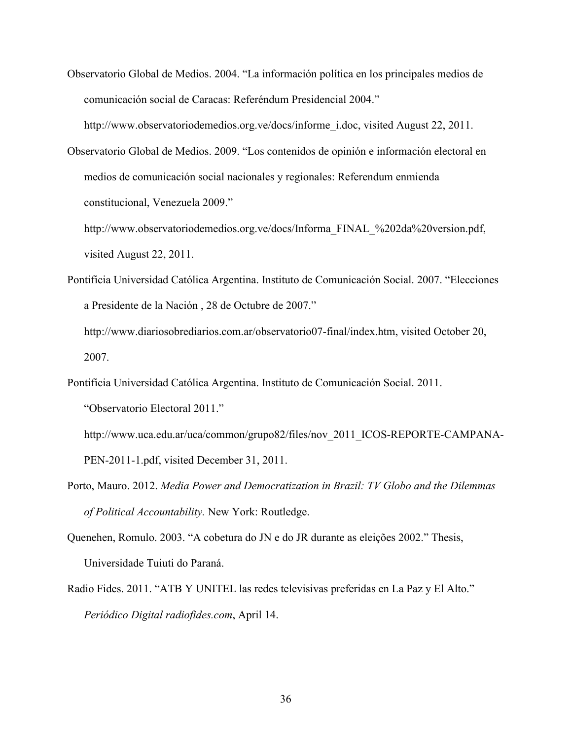Observatorio Global de Medios. 2004. "La información política en los principales medios de comunicación social de Caracas: Referéndum Presidencial 2004."

http://www.observatoriodemedios.org.ve/docs/informe\_i.doc, visited August 22, 2011.

Observatorio Global de Medios. 2009. "Los contenidos de opinión e información electoral en medios de comunicación social nacionales y regionales: Referendum enmienda constitucional, Venezuela 2009."

http://www.observatoriodemedios.org.ve/docs/Informa\_FINAL\_%202da%20version.pdf, visited August 22, 2011.

- Pontificia Universidad Católica Argentina. Instituto de Comunicación Social. 2007. "Elecciones a Presidente de la Nación , 28 de Octubre de 2007."
	- http://www.diariosobrediarios.com.ar/observatorio07-final/index.htm, visited October 20, 2007.
- Pontificia Universidad Católica Argentina. Instituto de Comunicación Social. 2011. "Observatorio Electoral 2011."
	- http://www.uca.edu.ar/uca/common/grupo82/files/nov\_2011\_ICOS-REPORTE-CAMPANA-PEN-2011-1.pdf, visited December 31, 2011.
- Porto, Mauro. 2012. *Media Power and Democratization in Brazil: TV Globo and the Dilemmas of Political Accountability.* New York: Routledge.
- Quenehen, Romulo. 2003. "A cobetura do JN e do JR durante as eleições 2002." Thesis, Universidade Tuiuti do Paraná.
- Radio Fides. 2011. "ATB Y UNITEL las redes televisivas preferidas en La Paz y El Alto." *Periódico Digital radiofides.com*, April 14.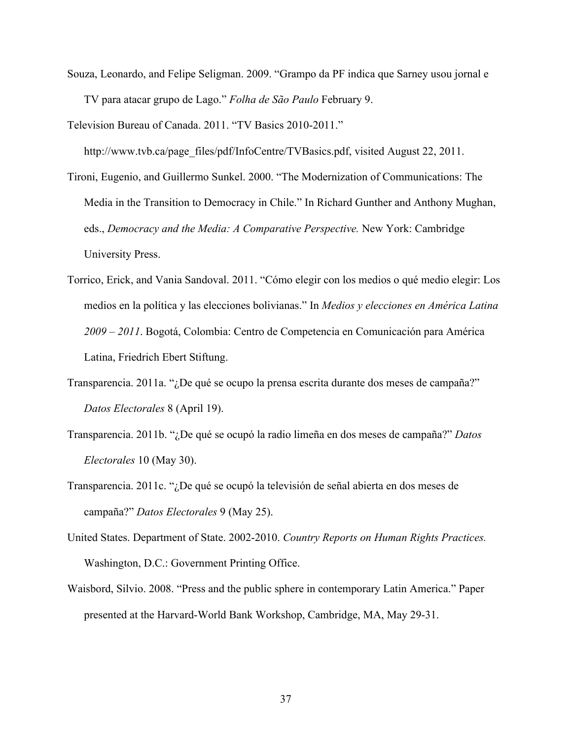Souza, Leonardo, and Felipe Seligman. 2009. "Grampo da PF indica que Sarney usou jornal e TV para atacar grupo de Lago." *Folha de São Paulo* February 9.

Television Bureau of Canada. 2011. "TV Basics 2010-2011."

http://www.tvb.ca/page\_files/pdf/InfoCentre/TVBasics.pdf, visited August 22, 2011.

- Tironi, Eugenio, and Guillermo Sunkel. 2000. "The Modernization of Communications: The Media in the Transition to Democracy in Chile." In Richard Gunther and Anthony Mughan, eds., *Democracy and the Media: A Comparative Perspective.* New York: Cambridge University Press.
- Torrico, Erick, and Vania Sandoval. 2011. "Cómo elegir con los medios o qué medio elegir: Los medios en la política y las elecciones bolivianas." In *Medios y elecciones en América Latina 2009 – 2011*. Bogotá, Colombia: Centro de Competencia en Comunicación para América Latina, Friedrich Ebert Stiftung.
- Transparencia. 2011a. "¿De qué se ocupo la prensa escrita durante dos meses de campaña?" *Datos Electorales* 8 (April 19).
- Transparencia. 2011b. "¿De qué se ocupó la radio limeña en dos meses de campaña?" *Datos Electorales* 10 (May 30).
- Transparencia. 2011c. "¿De qué se ocupó la televisión de señal abierta en dos meses de campaña?" *Datos Electorales* 9 (May 25).
- United States. Department of State. 2002-2010. *Country Reports on Human Rights Practices.* Washington, D.C.: Government Printing Office.
- Waisbord, Silvio. 2008. "Press and the public sphere in contemporary Latin America." Paper presented at the Harvard-World Bank Workshop, Cambridge, MA, May 29-31.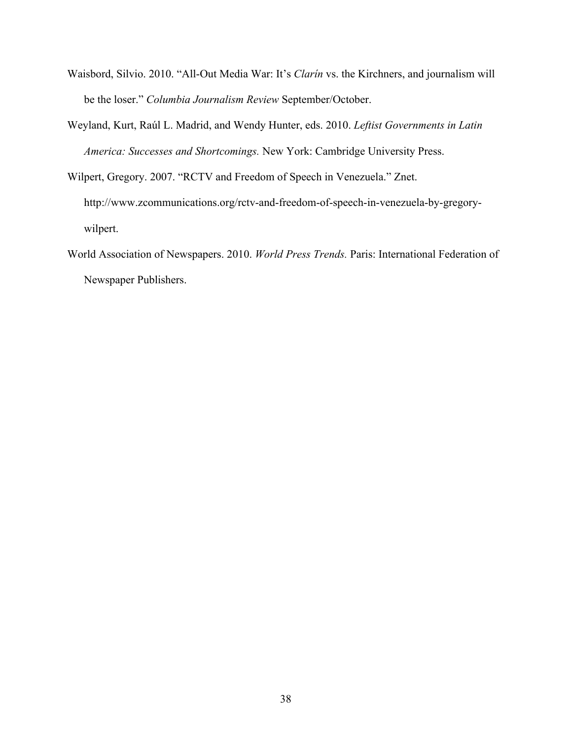- Waisbord, Silvio. 2010. "All-Out Media War: It's *Clarín* vs. the Kirchners, and journalism will be the loser." *Columbia Journalism Review* September/October.
- Weyland, Kurt, Raúl L. Madrid, and Wendy Hunter, eds. 2010. *Leftist Governments in Latin America: Successes and Shortcomings.* New York: Cambridge University Press.
- Wilpert, Gregory. 2007. "RCTV and Freedom of Speech in Venezuela." Znet. http://www.zcommunications.org/rctv-and-freedom-of-speech-in-venezuela-by-gregorywilpert.
- World Association of Newspapers. 2010. *World Press Trends.* Paris: International Federation of Newspaper Publishers.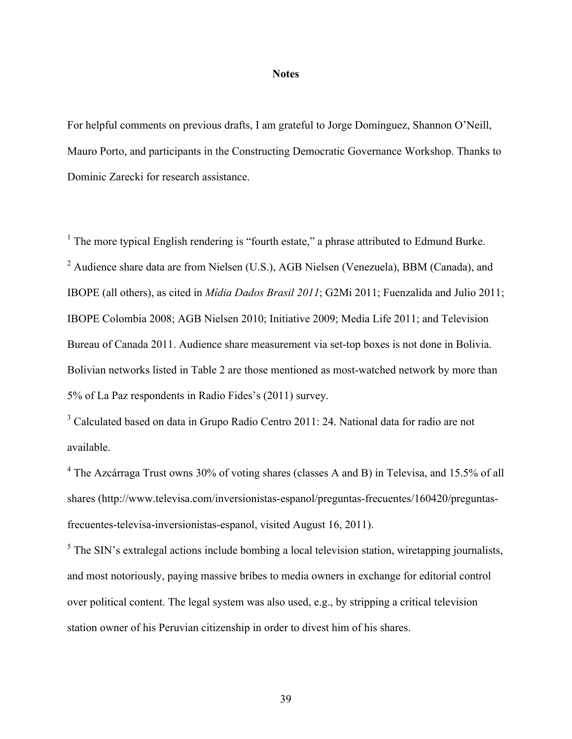#### **Notes**

For helpful comments on previous drafts, I am grateful to Jorge Domínguez, Shannon O'Neill, Mauro Porto, and participants in the Constructing Democratic Governance Workshop. Thanks to Dominic Zarecki for research assistance.

 $<sup>1</sup>$  The more typical English rendering is "fourth estate," a phrase attributed to Edmund Burke.</sup> <sup>2</sup> Audience share data are from Nielsen (U.S.), AGB Nielsen (Venezuela), BBM (Canada), and IBOPE (all others), as cited in *Mídia Dados Brasil 2011*; G2Mi 2011; Fuenzalida and Julio 2011; IBOPE Colombia 2008; AGB Nielsen 2010; Initiative 2009; Media Life 2011; and Television Bureau of Canada 2011. Audience share measurement via set-top boxes is not done in Bolivia. Bolivian networks listed in Table 2 are those mentioned as most-watched network by more than 5% of La Paz respondents in Radio Fides's (2011) survey.

<sup>3</sup> Calculated based on data in Grupo Radio Centro 2011: 24. National data for radio are not available.

<sup>4</sup> The Azcárraga Trust owns 30% of voting shares (classes A and B) in Televisa, and 15.5% of all shares (http://www.televisa.com/inversionistas-espanol/preguntas-frecuentes/160420/preguntasfrecuentes-televisa-inversionistas-espanol, visited August 16, 2011).

 $<sup>5</sup>$  The SIN's extralegal actions include bombing a local television station, wiretapping journalists,</sup> and most notoriously, paying massive bribes to media owners in exchange for editorial control over political content. The legal system was also used, e.g., by stripping a critical television station owner of his Peruvian citizenship in order to divest him of his shares.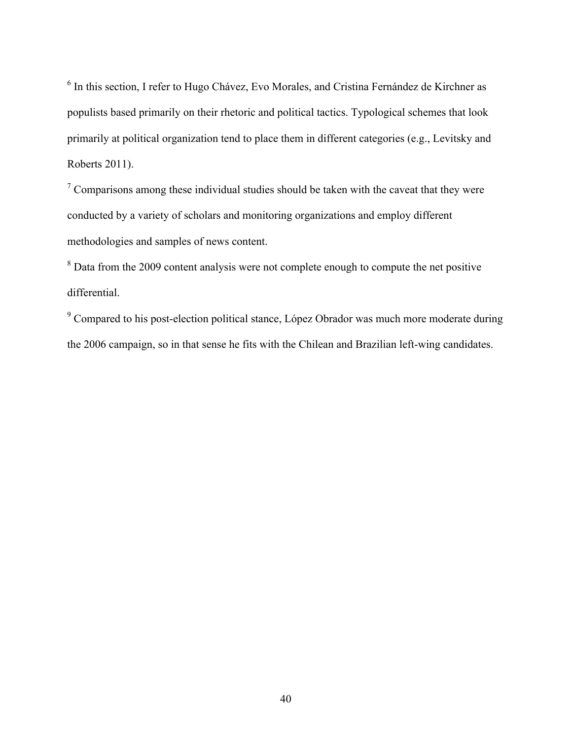<sup>6</sup> In this section, I refer to Hugo Chávez, Evo Morales, and Cristina Fernández de Kirchner as populists based primarily on their rhetoric and political tactics. Typological schemes that look primarily at political organization tend to place them in different categories (e.g., Levitsky and Roberts 2011).

 $\sigma$  Comparisons among these individual studies should be taken with the caveat that they were conducted by a variety of scholars and monitoring organizations and employ different methodologies and samples of news content.

 $8$  Data from the 2009 content analysis were not complete enough to compute the net positive differential.

 $9^9$  Compared to his post-election political stance, López Obrador was much more moderate during the 2006 campaign, so in that sense he fits with the Chilean and Brazilian left-wing candidates.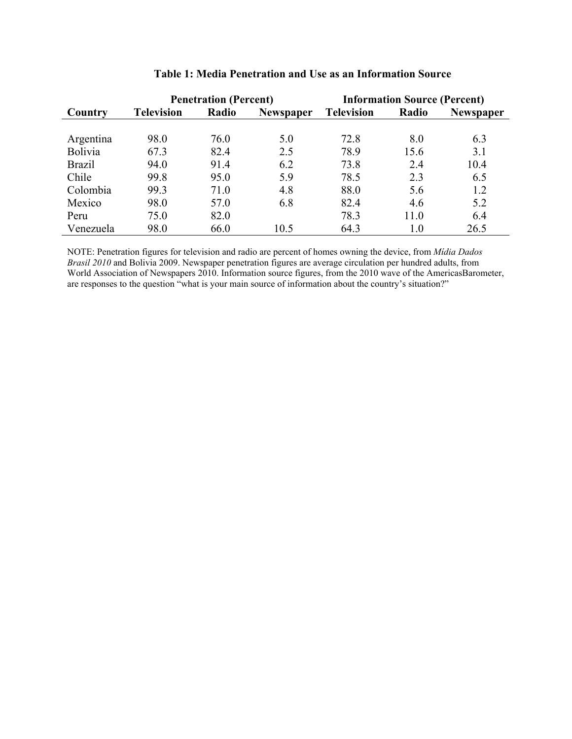|                | <b>Penetration (Percent)</b> |       |                  | <b>Information Source (Percent)</b> |       |                  |  |
|----------------|------------------------------|-------|------------------|-------------------------------------|-------|------------------|--|
| Country        | <b>Television</b>            | Radio | <b>Newspaper</b> | <b>Television</b>                   | Radio | <b>Newspaper</b> |  |
|                |                              |       |                  |                                     |       |                  |  |
| Argentina      | 98.0                         | 76.0  | 5.0              | 72.8                                | 8.0   | 6.3              |  |
| <b>Bolivia</b> | 67.3                         | 82.4  | 2.5              | 78.9                                | 15.6  | 3.1              |  |
| <b>Brazil</b>  | 94.0                         | 91.4  | 6.2              | 73.8                                | 2.4   | 10.4             |  |
| Chile          | 99.8                         | 95.0  | 5.9              | 78.5                                | 2.3   | 6.5              |  |
| Colombia       | 99.3                         | 71.0  | 4.8              | 88.0                                | 5.6   | 1.2              |  |
| Mexico         | 98.0                         | 57.0  | 6.8              | 82.4                                | 4.6   | 5.2              |  |
| Peru           | 75.0                         | 82.0  |                  | 78.3                                | 11.0  | 6.4              |  |
| Venezuela      | 98.0                         | 66.0  | 10.5             | 64.3                                | 1.0   | 26.5             |  |

# **Table 1: Media Penetration and Use as an Information Source**

NOTE: Penetration figures for television and radio are percent of homes owning the device, from *Mídia Dados Brasil 2010* and Bolivia 2009. Newspaper penetration figures are average circulation per hundred adults, from World Association of Newspapers 2010. Information source figures, from the 2010 wave of the AmericasBarometer, are responses to the question "what is your main source of information about the country's situation?"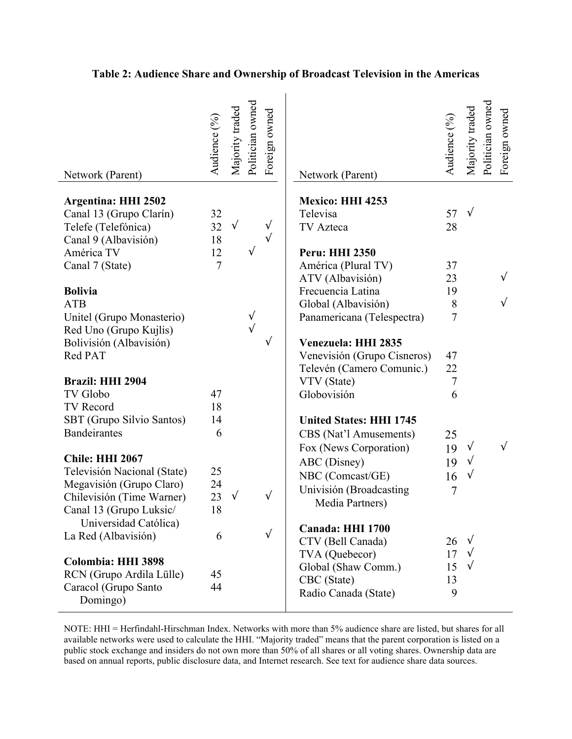| Network (Parent)                                                                                               | Audience (%)         | Majority traded | Politician owned | Foreign owned           | Network (Parent)                                                                                         | Audience (%)              | Majority traded                      | Politician owned | Foreign owned |
|----------------------------------------------------------------------------------------------------------------|----------------------|-----------------|------------------|-------------------------|----------------------------------------------------------------------------------------------------------|---------------------------|--------------------------------------|------------------|---------------|
| <b>Argentina: HHI 2502</b><br>Canal 13 (Grupo Clarín)<br>Telefe (Telefónica)<br>Canal 9 (Albavisión)           | 32<br>32<br>18       | $\sqrt{ }$      |                  | $\sqrt{ }$<br>$\sqrt{}$ | <b>Mexico: HHI 4253</b><br>Televisa<br>TV Azteca                                                         | 57<br>28                  | $\sqrt{ }$                           |                  |               |
| América TV<br>Canal 7 (State)                                                                                  | 12<br>$\overline{7}$ |                 |                  |                         | <b>Peru: HHI 2350</b><br>América (Plural TV)<br>ATV (Albavisión)                                         | 37<br>23                  |                                      |                  |               |
| <b>Bolivia</b><br><b>ATB</b><br>Unitel (Grupo Monasterio)                                                      |                      |                 | $\sqrt{}$        |                         | Frecuencia Latina<br>Global (Albavisión)<br>Panamericana (Telespectra)                                   | 19<br>8<br>$\overline{7}$ |                                      |                  |               |
| Red Uno (Grupo Kujlis)<br>Bolivisión (Albavisión)<br>Red PAT                                                   |                      |                 |                  | $\sqrt{}$               | Venezuela: HHI 2835<br>Venevisión (Grupo Cisneros)                                                       | 47                        |                                      |                  |               |
| <b>Brazil: HHI 2904</b><br><b>TV</b> Globo                                                                     | 47                   |                 |                  |                         | Televén (Camero Comunic.)<br>VTV (State)<br>Globovisión                                                  | 22<br>$\tau$<br>6         |                                      |                  |               |
| TV Record<br>SBT (Grupo Silvio Santos)<br><b>Bandeirantes</b>                                                  | 18<br>14<br>6        |                 |                  |                         | <b>United States: HHI 1745</b><br>CBS (Nat'l Amusements)                                                 | 25                        |                                      |                  |               |
| <b>Chile: HHI 2067</b><br>Televisión Nacional (State)<br>Megavisión (Grupo Claro)<br>Chilevisión (Time Warner) | 25<br>24<br>23       | $\sqrt{}$       |                  | $\sqrt{ }$              | Fox (News Corporation)<br>ABC (Disney)<br>NBC (Comcast/GE)<br>Univisión (Broadcasting<br>Media Partners) | 19<br>19<br>16<br>7       | $\sqrt{ }$<br>$\sqrt{}$<br>$\sqrt{}$ |                  |               |
| Canal 13 (Grupo Luksic/<br>Universidad Católica)<br>La Red (Albavisión)                                        | 18<br>6              |                 |                  | $\sqrt{ }$              | Canada: HHI 1700<br>CTV (Bell Canada)<br>TVA (Quebecor)                                                  | 26<br>17                  | $\sqrt{ }$<br>$\sqrt{ }$             |                  |               |
| Colombia: HHI 3898<br>RCN (Grupo Ardila Lülle)<br>Caracol (Grupo Santo<br>Domingo)                             | 45<br>44             |                 |                  |                         | Global (Shaw Comm.)<br>CBC (State)<br>Radio Canada (State)                                               | 15<br>13<br>9             | $\sqrt{ }$                           |                  |               |

# **Table 2: Audience Share and Ownership of Broadcast Television in the Americas**

NOTE: HHI = Herfindahl-Hirschman Index. Networks with more than 5% audience share are listed, but shares for all available networks were used to calculate the HHI. "Majority traded" means that the parent corporation is listed on a public stock exchange and insiders do not own more than 50% of all shares or all voting shares. Ownership data are based on annual reports, public disclosure data, and Internet research. See text for audience share data sources.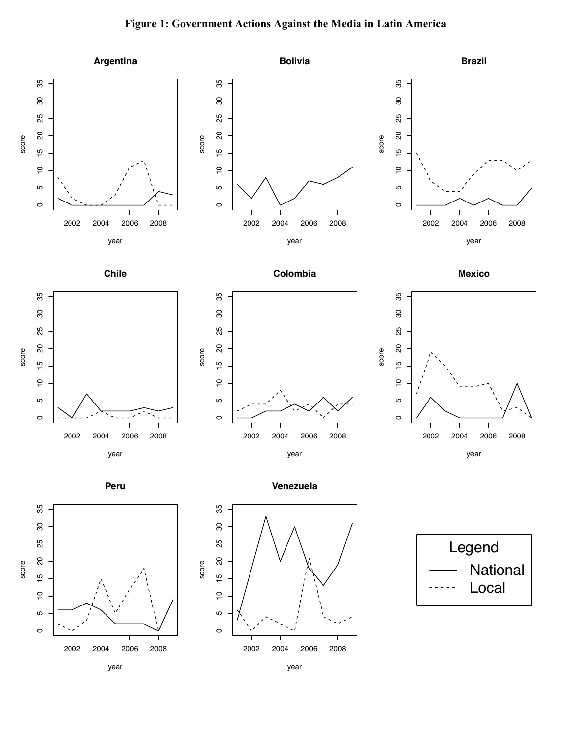# **Figure 1: Government Actions Against the Media in Latin America**



year

year